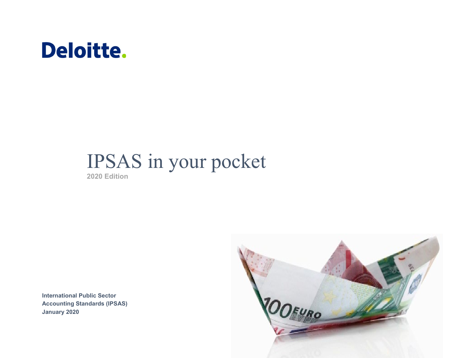# Deloitte.

# IPSAS in your pocket

**2020 Edition**

**International Public Sector Accounting Standards (IPSAS) January 2020**

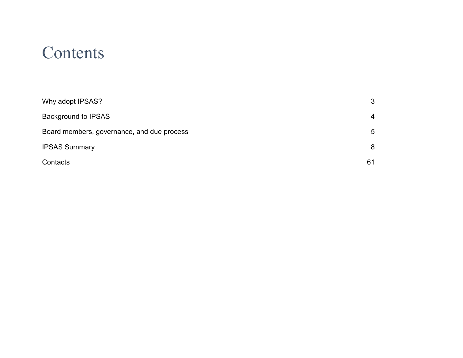## **Contents**

| Why adopt IPSAS?                           | 3  |
|--------------------------------------------|----|
| <b>Background to IPSAS</b>                 | 4  |
| Board members, governance, and due process | 5  |
| <b>IPSAS Summary</b>                       | 8  |
| Contacts                                   | 61 |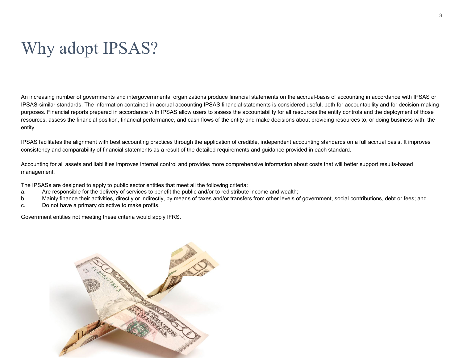## <span id="page-2-0"></span>Why adopt IPSAS?

An increasing number of governments and intergovernmental organizations produce financial statements on the accrual-basis of accounting in accordance with IPSAS or IPSAS-similar standards. The information contained in accrual accounting IPSAS financial statements is considered useful, both for accountability and for decision-making purposes. Financial reports prepared in accordance with IPSAS allow users to assess the accountability for all resources the entity controls and the deployment of those resources, assess the financial position, financial performance, and cash flows of the entity and make decisions about providing resources to, or doing business with, the entity.

IPSAS facilitates the alignment with best accounting practices through the application of credible, independent accounting standards on a full accrual basis. It improves consistency and comparability of financial statements as a result of the detailed requirements and guidance provided in each standard.

Accounting for all assets and liabilities improves internal control and provides more comprehensive information about costs that will better support results-based management.

The IPSASs are designed to apply to public sector entities that meet all the following criteria:

- a. Are responsible for the delivery of services to benefit the public and/or to redistribute income and wealth;
- b. Mainly finance their activities, directly or indirectly, by means of taxes and/or transfers from other levels of government, social contributions, debt or fees; and
- c. Do not have a primary objective to make profits.

Government entities not meeting these criteria would apply IFRS.

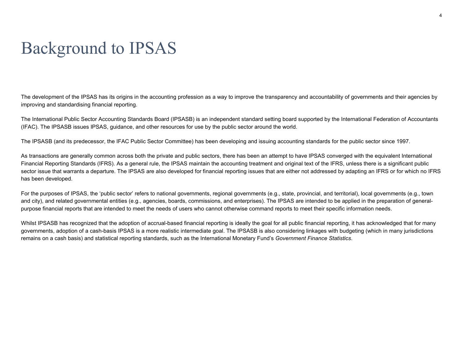## <span id="page-3-0"></span>Background to IPSAS

The development of the IPSAS has its origins in the accounting profession as a way to improve the transparency and accountability of governments and their agencies by improving and standardising financial reporting.

The International Public Sector Accounting Standards Board (IPSASB) is an independent standard setting board supported by the International Federation of Accountants (IFAC). The IPSASB issues IPSAS, guidance, and other resources for use by the public sector around the world.

The IPSASB (and its predecessor, the IFAC Public Sector Committee) has been developing and issuing accounting standards for the public sector since 1997.

As transactions are generally common across both the private and public sectors, there has been an attempt to have IPSAS converged with the equivalent International Financial Reporting Standards (IFRS). As a general rule, the IPSAS maintain the accounting treatment and original text of the IFRS, unless there is a significant public sector issue that warrants a departure. The IPSAS are also developed for financial reporting issues that are either not addressed by adapting an IFRS or for which no IFRS has been developed.

For the purposes of IPSAS, the 'public sector' refers to national governments, regional governments (e.g., state, provincial, and territorial), local governments (e.g., town and city), and related governmental entities (e.g., agencies, boards, commissions, and enterprises). The IPSAS are intended to be applied in the preparation of generalpurpose financial reports that are intended to meet the needs of users who cannot otherwise command reports to meet their specific information needs.

Whilst IPSASB has recognized that the adoption of accrual-based financial reporting is ideally the goal for all public financial reporting, it has acknowledged that for many governments, adoption of a cash-basis IPSAS is a more realistic intermediate goal. The IPSASB is also considering linkages with budgeting (which in many jurisdictions remains on a cash basis) and statistical reporting standards, such as the International Monetary Fund's *Government Finance Statistics*.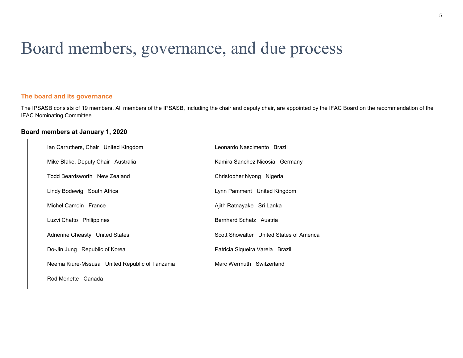## <span id="page-4-0"></span>Board members, governance, and due process

## **The board and its governance**

The IPSASB consists of 19 members. All members of the IPSASB, including the chair and deputy chair, are appointed by the IFAC Board on the recommendation of the IFAC Nominating Committee.

## **Board members at January 1, 2020**

| Ian Carruthers, Chair United Kingdom           | Leonardo Nascimento Brazil               |
|------------------------------------------------|------------------------------------------|
| Mike Blake, Deputy Chair Australia             | Kamira Sanchez Nicosia Germany           |
| Todd Beardsworth New Zealand                   | Christopher Nyong Nigeria                |
| Lindy Bodewig South Africa                     | Lynn Pamment United Kingdom              |
| Michel Camoin France                           | Ajith Ratnayake Sri Lanka                |
| Luzvi Chatto Philippines                       | Bernhard Schatz Austria                  |
| Adrienne Cheasty United States                 | Scott Showalter United States of America |
| Do-Jin Jung Republic of Korea                  | Patricia Siqueira Varela Brazil          |
| Neema Kiure-Mssusa United Republic of Tanzania | Marc Wermuth Switzerland                 |
| Rod Monette Canada                             |                                          |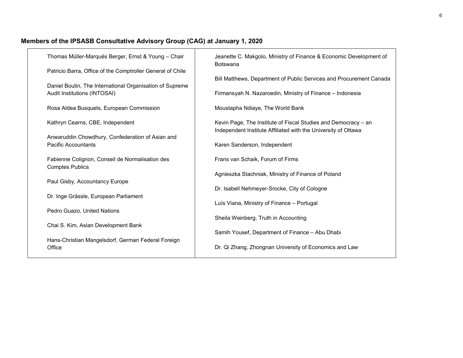## **Members of the IPSASB Consultative Advisory Group (CAG) at January 1, 2020**

| Thomas Müller-Marqués Berger, Ernst & Young - Chair                                                                                                    | Jeanette C. Makgolo, Ministry of Finance & Economic Development of<br><b>Botswana</b>                                            |
|--------------------------------------------------------------------------------------------------------------------------------------------------------|----------------------------------------------------------------------------------------------------------------------------------|
| Patricio Barra, Office of the Comptroller General of Chile<br>Daniel Boutin, The International Organisation of Supreme<br>Audit Institutions (INTOSAI) | Bill Matthews, Department of Public Services and Procurement Canada<br>Firmansyah N. Nazaroedin, Ministry of Finance - Indonesia |
| Rosa Aldea Busquets, European Commission                                                                                                               | Moustapha Ndiaye, The World Bank                                                                                                 |
| Kathryn Cearns, CBE, Independent                                                                                                                       | Kevin Page, The Institute of Fiscal Studies and Democracy - an<br>Independent Institute Affiliated with the University of Ottawa |
| Anwaruddin Chowdhury, Confederation of Asian and<br><b>Pacific Accountants</b>                                                                         | Karen Sanderson, Independent                                                                                                     |
| Fabienne Colignon, Conseil de Normalisation des<br><b>Comptes Publics</b>                                                                              | Frans van Schaik, Forum of Firms                                                                                                 |
| Paul Gisby, Accountancy Europe                                                                                                                         | Agnieszka Stachniak, Ministry of Finance of Poland<br>Dr. Isabell Nehmeyer-Srocke, City of Cologne                               |
| Dr. Inge Grässle, European Parliament                                                                                                                  | Luís Viana, Ministry of Finance - Portugal                                                                                       |
| Pedro Guazo, United Nations                                                                                                                            | Sheila Weinberg, Truth in Accounting                                                                                             |
| Chai S. Kim, Asian Development Bank                                                                                                                    | Samih Yousef, Department of Finance - Abu Dhabi                                                                                  |
| Hans-Christian Mangelsdorf, German Federal Foreign<br>Office                                                                                           | Dr. Qi Zhang, Zhongnan University of Economics and Law                                                                           |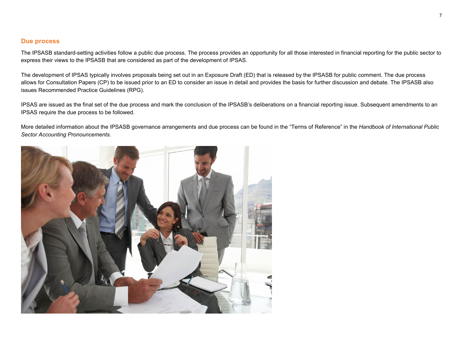## **Due process**

The IPSASB standard-setting activities follow a public due process. The process provides an opportunity for all those interested in financial reporting for the public sector to express their views to the IPSASB that are considered as part of the development of IPSAS.

The development of IPSAS typically involves proposals being set out in an Exposure Draft (ED) that is released by the IPSASB for public comment. The due process allows for Consultation Papers (CP) to be issued prior to an ED to consider an issue in detail and provides the basis for further discussion and debate. The IPSASB also issues Recommended Practice Guidelines (RPG).

IPSAS are issued as the final set of the due process and mark the conclusion of the IPSASB's deliberations on a financial reporting issue. Subsequent amendments to an IPSAS require the due process to be followed.

More detailed information about the IPSASB governance arrangements and due process can be found in the "Terms of Reference" in the *Handbook of International Public Sector Accounting Pronouncements*.

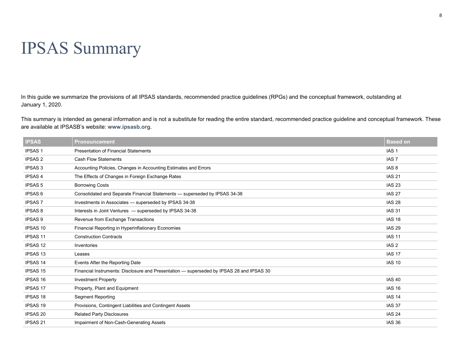## <span id="page-7-0"></span>IPSAS Summary

In this guide we summarize the provisions of all IPSAS standards, recommended practice guidelines (RPGs) and the conceptual framework, outstanding at January 1, 2020.

This summary is intended as general information and is not a substitute for reading the entire standard, recommended practice guideline and conceptual framework. These are available at IPSASB's website: **[www.ipsasb.org](http://www.ipsasb.org/)**.

| <b>IPSAS</b>    | <b>Pronouncement</b>                                                                     | <b>Based on</b>  |
|-----------------|------------------------------------------------------------------------------------------|------------------|
| <b>IPSAS1</b>   | <b>Presentation of Financial Statements</b>                                              | IAS <sub>1</sub> |
| <b>IPSAS 2</b>  | <b>Cash Flow Statements</b>                                                              | IAS <sub>7</sub> |
| <b>IPSAS 3</b>  | Accounting Policies, Changes in Accounting Estimates and Errors                          | IAS <sub>8</sub> |
| <b>IPSAS4</b>   | The Effects of Changes in Foreign Exchange Rates                                         | <b>IAS 21</b>    |
| <b>IPSAS 5</b>  | <b>Borrowing Costs</b>                                                                   | <b>IAS 23</b>    |
| <b>IPSAS 6</b>  | Consolidated and Separate Financial Statements - superseded by IPSAS 34-38               | <b>IAS 27</b>    |
| <b>IPSAS7</b>   | Investments in Associates - superseded by IPSAS 34-38                                    | <b>IAS 28</b>    |
| <b>IPSAS 8</b>  | Interests in Joint Ventures - superseded by IPSAS 34-38                                  | <b>IAS 31</b>    |
| <b>IPSAS 9</b>  | Revenue from Exchange Transactions                                                       | <b>IAS 18</b>    |
| <b>IPSAS 10</b> | Financial Reporting in Hyperinflationary Economies                                       | <b>IAS 29</b>    |
| <b>IPSAS 11</b> | <b>Construction Contracts</b>                                                            | <b>IAS 11</b>    |
| <b>IPSAS 12</b> | Inventories                                                                              | IAS <sub>2</sub> |
| <b>IPSAS 13</b> | Leases                                                                                   | <b>IAS 17</b>    |
| <b>IPSAS 14</b> | Events After the Reporting Date                                                          | <b>IAS 10</b>    |
| <b>IPSAS 15</b> | Financial Instruments: Disclosure and Presentation - superseded by IPSAS 28 and IPSAS 30 |                  |
| <b>IPSAS 16</b> | <b>Investment Property</b>                                                               | <b>IAS 40</b>    |
| <b>IPSAS 17</b> | Property, Plant and Equipment                                                            | <b>IAS 16</b>    |
| <b>IPSAS 18</b> | <b>Segment Reporting</b>                                                                 | <b>IAS 14</b>    |
| <b>IPSAS 19</b> | Provisions, Contingent Liabilities and Contingent Assets                                 | <b>IAS 37</b>    |
| <b>IPSAS 20</b> | <b>Related Party Disclosures</b>                                                         | <b>IAS 24</b>    |
| <b>IPSAS 21</b> | Impairment of Non-Cash-Generating Assets                                                 | <b>IAS 36</b>    |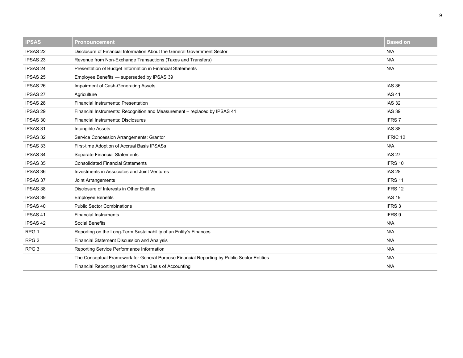| <b>IPSAS</b>        | <b>Pronouncement</b>                                                                       | <b>Based on</b>   |
|---------------------|--------------------------------------------------------------------------------------------|-------------------|
| <b>IPSAS 22</b>     | Disclosure of Financial Information About the General Government Sector                    | N/A               |
| IPSAS <sub>23</sub> | Revenue from Non-Exchange Transactions (Taxes and Transfers)                               | N/A               |
| <b>IPSAS 24</b>     | Presentation of Budget Information in Financial Statements                                 | N/A               |
| IPSAS <sub>25</sub> | Employee Benefits - superseded by IPSAS 39                                                 |                   |
| IPSAS 26            | Impairment of Cash-Generating Assets                                                       | <b>IAS 36</b>     |
| <b>IPSAS 27</b>     | Agriculture                                                                                | <b>IAS 41</b>     |
| IPSAS 28            | <b>Financial Instruments: Presentation</b>                                                 | <b>IAS 32</b>     |
| <b>IPSAS 29</b>     | Financial Instruments: Recognition and Measurement - replaced by IPSAS 41                  | <b>IAS 39</b>     |
| <b>IPSAS 30</b>     | <b>Financial Instruments: Disclosures</b>                                                  | <b>IFRS7</b>      |
| <b>IPSAS 31</b>     | <b>Intangible Assets</b>                                                                   | <b>IAS 38</b>     |
| IPSAS 32            | Service Concession Arrangements: Grantor                                                   | IFRIC 12          |
| IPSAS 33            | First-time Adoption of Accrual Basis IPSASs                                                | N/A               |
| <b>IPSAS 34</b>     | Separate Financial Statements                                                              | <b>IAS 27</b>     |
| IPSAS 35            | <b>Consolidated Financial Statements</b>                                                   | IFRS 10           |
| IPSAS 36            | Investments in Associates and Joint Ventures                                               | <b>IAS 28</b>     |
| <b>IPSAS 37</b>     | Joint Arrangements                                                                         | IFRS 11           |
| IPSAS 38            | Disclosure of Interests in Other Entities                                                  | IFRS 12           |
| <b>IPSAS 39</b>     | <b>Employee Benefits</b>                                                                   | <b>IAS 19</b>     |
| <b>IPSAS 40</b>     | <b>Public Sector Combinations</b>                                                          | IFRS <sub>3</sub> |
| <b>IPSAS 41</b>     | <b>Financial Instruments</b>                                                               | IFRS 9            |
| <b>IPSAS 42</b>     | Social Benefits                                                                            | N/A               |
| RPG <sub>1</sub>    | Reporting on the Long-Term Sustainability of an Entity's Finances                          | N/A               |
| RPG <sub>2</sub>    | <b>Financial Statement Discussion and Analysis</b>                                         | N/A               |
| RPG <sub>3</sub>    | Reporting Service Performance Information                                                  | N/A               |
|                     | The Conceptual Framework for General Purpose Financial Reporting by Public Sector Entities | N/A               |
|                     | Financial Reporting under the Cash Basis of Accounting                                     | N/A               |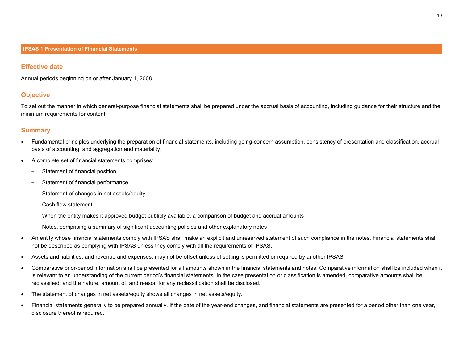#### **Effective date**

Annual periods beginning on or after January 1, 2008.

## **Objective**

To set out the manner in which general-purpose financial statements shall be prepared under the accrual basis of accounting, including guidance for their structure and the minimum requirements for content.

- Fundamental principles underlying the preparation of financial statements, including going-concern assumption, consistency of presentation and classification, accrual basis of accounting, and aggregation and materiality.
- A complete set of financial statements comprises:
	- Statement of financial position
	- Statement of financial performance
	- Statement of changes in net assets/equity
	- Cash flow statement
	- When the entity makes it approved budget publicly available, a comparison of budget and accrual amounts
	- Notes, comprising a summary of significant accounting policies and other explanatory notes
- An entity whose financial statements comply with IPSAS shall make an explicit and unreserved statement of such compliance in the notes. Financial statements shall not be described as complying with IPSAS unless they comply with all the requirements of IPSAS.
- Assets and liabilities, and revenue and expenses, may not be offset unless offsetting is permitted or required by another IPSAS.
- Comparative prior-period information shall be presented for all amounts shown in the financial statements and notes. Comparative information shall be included when it is relevant to an understanding of the current period's financial statements. In the case presentation or classification is amended, comparative amounts shall be reclassified, and the nature, amount of, and reason for any reclassification shall be disclosed.
- The statement of changes in net assets/equity shows all changes in net assets/equity.
- Financial statements generally to be prepared annually. If the date of the year-end changes, and financial statements are presented for a period other than one year, disclosure thereof is required.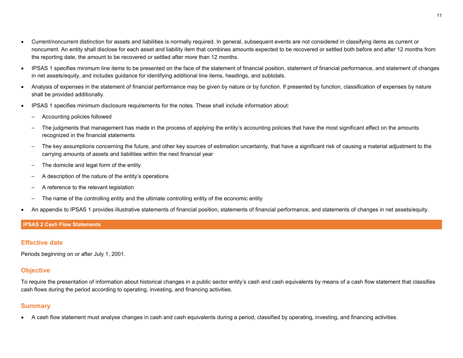- Current/noncurrent distinction for assets and liabilities is normally required. In general, subsequent events are not considered in classifying items as current or noncurrent. An entity shall disclose for each asset and liability item that combines amounts expected to be recovered or settled both before and after 12 months from the reporting date, the amount to be recovered or settled after more than 12 months.
- IPSAS 1 specifies minimum line items to be presented on the face of the statement of financial position, statement of financial performance, and statement of changes in net assets/equity, and includes guidance for identifying additional line items, headings, and subtotals.
- Analysis of expenses in the statement of financial performance may be given by nature or by function. If presented by function, classification of expenses by nature shall be provided additionally.
- IPSAS 1 specifies minimum disclosure requirements for the notes. These shall include information about:
	- Accounting policies followed
	- The judgments that management has made in the process of applying the entity's accounting policies that have the most significant effect on the amounts recognized in the financial statements
	- The key assumptions concerning the future, and other key sources of estimation uncertainty, that have a significant risk of causing a material adjustment to the carrying amounts of assets and liabilities within the next financial year
	- The domicile and legal form of the entity
	- A description of the nature of the entity's operations
	- A reference to the relevant legislation
	- The name of the controlling entity and the ultimate controlling entity of the economic entity
- An appendix to IPSAS 1 provides illustrative statements of financial position, statements of financial performance, and statements of changes in net assets/equity.

## **IPSAS 2 Cash Flow Statements**

## **Effective date**

Periods beginning on or after July 1, 2001.

## **Objective**

To require the presentation of information about historical changes in a public sector entity's cash and cash equivalents by means of a cash flow statement that classifies cash flows during the period according to operating, investing, and financing activities.

## **Summary**

• A cash flow statement must analyse changes in cash and cash equivalents during a period, classified by operating, investing, and financing activities.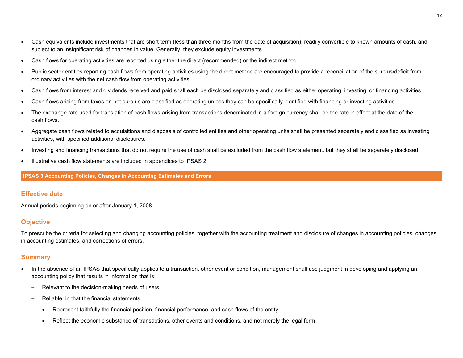- Cash equivalents include investments that are short term (less than three months from the date of acquisition), readily convertible to known amounts of cash, and subject to an insignificant risk of changes in value. Generally, they exclude equity investments.
- Cash flows for operating activities are reported using either the direct (recommended) or the indirect method.
- Public sector entities reporting cash flows from operating activities using the direct method are encouraged to provide a reconciliation of the surplus/deficit from ordinary activities with the net cash flow from operating activities.
- Cash flows from interest and dividends received and paid shall each be disclosed separately and classified as either operating, investing, or financing activities.
- Cash flows arising from taxes on net surplus are classified as operating unless they can be specifically identified with financing or investing activities.
- The exchange rate used for translation of cash flows arising from transactions denominated in a foreign currency shall be the rate in effect at the date of the cash flows.
- Aggregate cash flows related to acquisitions and disposals of controlled entities and other operating units shall be presented separately and classified as investing activities, with specified additional disclosures.
- Investing and financing transactions that do not require the use of cash shall be excluded from the cash flow statement, but they shall be separately disclosed.
- Illustrative cash flow statements are included in appendices to IPSAS 2.

**IPSAS 3 Accounting Policies, Changes in Accounting Estimates and Errors**

## **Effective date**

Annual periods beginning on or after January 1, 2008.

## **Objective**

To prescribe the criteria for selecting and changing accounting policies, together with the accounting treatment and disclosure of changes in accounting policies, changes in accounting estimates, and corrections of errors.

- In the absence of an IPSAS that specifically applies to a transaction, other event or condition, management shall use judgment in developing and applying an accounting policy that results in information that is:
	- Relevant to the decision-making needs of users
	- Reliable, in that the financial statements:
		- Represent faithfully the financial position, financial performance, and cash flows of the entity
		- Reflect the economic substance of transactions, other events and conditions, and not merely the legal form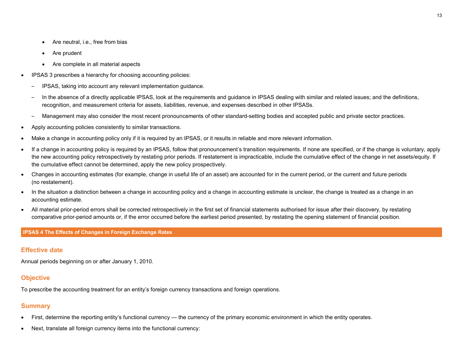- Are neutral, i.e., free from bias
- Are prudent
- Are complete in all material aspects
- IPSAS 3 prescribes a hierarchy for choosing accounting policies:
	- IPSAS, taking into account any relevant implementation guidance.
	- In the absence of a directly applicable IPSAS, look at the requirements and guidance in IPSAS dealing with similar and related issues; and the definitions, recognition, and measurement criteria for assets, liabilities, revenue, and expenses described in other IPSASs.
	- Management may also consider the most recent pronouncements of other standard-setting bodies and accepted public and private sector practices.
- Apply accounting policies consistently to similar transactions.
- Make a change in accounting policy only if it is required by an IPSAS, or it results in reliable and more relevant information.
- If a change in accounting policy is required by an IPSAS, follow that pronouncement's transition requirements. If none are specified, or if the change is voluntary, apply the new accounting policy retrospectively by restating prior periods. If restatement is impracticable, include the cumulative effect of the change in net assets/equity. If the cumulative effect cannot be determined, apply the new policy prospectively.
- Changes in accounting estimates (for example, change in useful life of an asset) are accounted for in the current period, or the current and future periods (no restatement).
- In the situation a distinction between a change in accounting policy and a change in accounting estimate is unclear, the change is treated as a change in an accounting estimate.
- All material prior-period errors shall be corrected retrospectively in the first set of financial statements authorised for issue after their discovery, by restating comparative prior-period amounts or, if the error occurred before the earliest period presented, by restating the opening statement of financial position.

#### **IPSAS 4 The Effects of Changes in Foreign Exchange Rates**

## **Effective date**

Annual periods beginning on or after January 1, 2010.

## **Objective**

To prescribe the accounting treatment for an entity's foreign currency transactions and foreign operations.

- First, determine the reporting entity's functional currency the currency of the primary economic environment in which the entity operates.
- Next, translate all foreign currency items into the functional currency: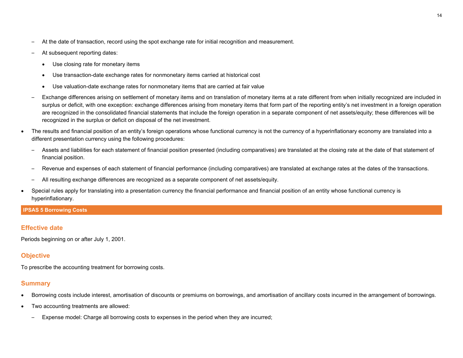- At the date of transaction, record using the spot exchange rate for initial recognition and measurement.
- At subsequent reporting dates:
	- Use closing rate for monetary items
	- Use transaction-date exchange rates for nonmonetary items carried at historical cost
	- Use valuation-date exchange rates for nonmonetary items that are carried at fair value
- Exchange differences arising on settlement of monetary items and on translation of monetary items at a rate different from when initially recognized are included in surplus or deficit, with one exception: exchange differences arising from monetary items that form part of the reporting entity's net investment in a foreign operation are recognized in the consolidated financial statements that include the foreign operation in a separate component of net assets/equity; these differences will be recognized in the surplus or deficit on disposal of the net investment.
- The results and financial position of an entity's foreign operations whose functional currency is not the currency of a hyperinflationary economy are translated into a different presentation currency using the following procedures:
	- Assets and liabilities for each statement of financial position presented (including comparatives) are translated at the closing rate at the date of that statement of financial position.
	- Revenue and expenses of each statement of financial performance (including comparatives) are translated at exchange rates at the dates of the transactions.
	- All resulting exchange differences are recognized as a separate component of net assets/equity.
- Special rules apply for translating into a presentation currency the financial performance and financial position of an entity whose functional currency is hyperinflationary.

## **IPSAS 5 Borrowing Costs**

## **Effective date**

Periods beginning on or after July 1, 2001.

## **Objective**

To prescribe the accounting treatment for borrowing costs.

- Borrowing costs include interest, amortisation of discounts or premiums on borrowings, and amortisation of ancillary costs incurred in the arrangement of borrowings.
- Two accounting treatments are allowed:
	- Expense model: Charge all borrowing costs to expenses in the period when they are incurred;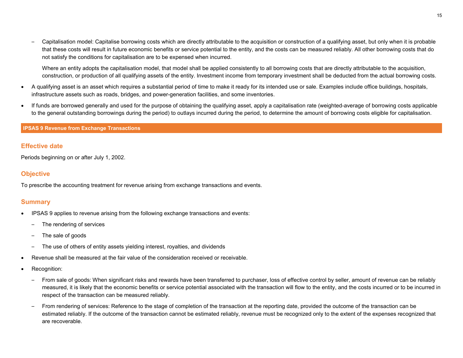– Capitalisation model: Capitalise borrowing costs which are directly attributable to the acquisition or construction of a qualifying asset, but only when it is probable that these costs will result in future economic benefits or service potential to the entity, and the costs can be measured reliably. All other borrowing costs that do not satisfy the conditions for capitalisation are to be expensed when incurred.

Where an entity adopts the capitalisation model, that model shall be applied consistently to all borrowing costs that are directly attributable to the acquisition, construction, or production of all qualifying assets of the entity. Investment income from temporary investment shall be deducted from the actual borrowing costs.

- A qualifying asset is an asset which requires a substantial period of time to make it ready for its intended use or sale. Examples include office buildings, hospitals, infrastructure assets such as roads, bridges, and power-generation facilities, and some inventories.
- If funds are borrowed generally and used for the purpose of obtaining the qualifying asset, apply a capitalisation rate (weighted-average of borrowing costs applicable to the general outstanding borrowings during the period) to outlays incurred during the period, to determine the amount of borrowing costs eligible for capitalisation.

#### **IPSAS 9 Revenue from Exchange Transactions**

## **Effective date**

Periods beginning on or after July 1, 2002.

## **Objective**

To prescribe the accounting treatment for revenue arising from exchange transactions and events.

- IPSAS 9 applies to revenue arising from the following exchange transactions and events:
	- The rendering of services
	- The sale of goods
	- The use of others of entity assets yielding interest, royalties, and dividends
- Revenue shall be measured at the fair value of the consideration received or receivable.
- Recognition:
	- From sale of goods: When significant risks and rewards have been transferred to purchaser, loss of effective control by seller, amount of revenue can be reliably measured, it is likely that the economic benefits or service potential associated with the transaction will flow to the entity, and the costs incurred or to be incurred in respect of the transaction can be measured reliably.
	- From rendering of services: Reference to the stage of completion of the transaction at the reporting date, provided the outcome of the transaction can be estimated reliably. If the outcome of the transaction cannot be estimated reliably, revenue must be recognized only to the extent of the expenses recognized that are recoverable.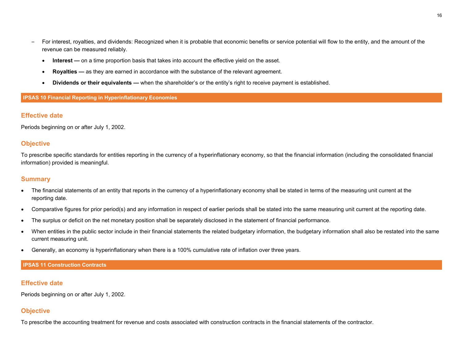- For interest, royalties, and dividends: Recognized when it is probable that economic benefits or service potential will flow to the entity, and the amount of the revenue can be measured reliably.
	- **Interest** on a time proportion basis that takes into account the effective yield on the asset.
	- **Royalties —** as they are earned in accordance with the substance of the relevant agreement.
	- **Dividends or their equivalents —** when the shareholder's or the entity's right to receive payment is established.

#### **IPSAS 10 Financial Reporting in Hyperinflationary Economies**

#### **Effective date**

Periods beginning on or after July 1, 2002.

#### **Objective**

To prescribe specific standards for entities reporting in the currency of a hyperinflationary economy, so that the financial information (including the consolidated financial information) provided is meaningful.

#### **Summary**

- The financial statements of an entity that reports in the currency of a hyperinflationary economy shall be stated in terms of the measuring unit current at the reporting date.
- Comparative figures for prior period(s) and any information in respect of earlier periods shall be stated into the same measuring unit current at the reporting date.
- The surplus or deficit on the net monetary position shall be separately disclosed in the statement of financial performance.
- When entities in the public sector include in their financial statements the related budgetary information, the budgetary information shall also be restated into the same current measuring unit.
- Generally, an economy is hyperinflationary when there is a 100% cumulative rate of inflation over three years.

#### **IPSAS 11 Construction Contracts**

#### **Effective date**

Periods beginning on or after July 1, 2002.

## **Objective**

To prescribe the accounting treatment for revenue and costs associated with construction contracts in the financial statements of the contractor.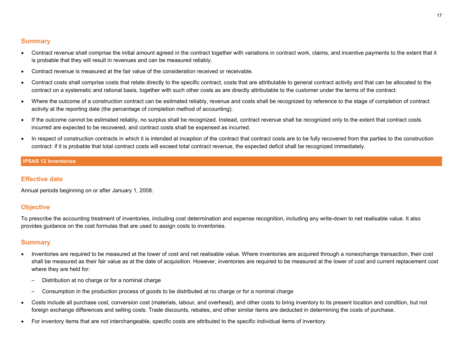## **Summary**

- Contract revenue shall comprise the initial amount agreed in the contract together with variations in contract work, claims, and incentive payments to the extent that it is probable that they will result in revenues and can be measured reliably.
- Contract revenue is measured at the fair value of the consideration received or receivable.
- Contract costs shall comprise costs that relate directly to the specific contract, costs that are attributable to general contract activity and that can be allocated to the contract on a systematic and rational basis, together with such other costs as are directly attributable to the customer under the terms of the contract.
- Where the outcome of a construction contract can be estimated reliably, revenue and costs shall be recognized by reference to the stage of completion of contract activity at the reporting date (the percentage of completion method of accounting).
- If the outcome cannot be estimated reliably, no surplus shall be recognized. Instead, contract revenue shall be recognized only to the extent that contract costs incurred are expected to be recovered, and contract costs shall be expensed as incurred.
- In respect of construction contracts in which it is intended at inception of the contract that contract costs are to be fully recovered from the parties to the construction contract: if it is probable that total contract costs will exceed total contract revenue, the expected deficit shall be recognized immediately.

## **IPSAS 12 Inventories**

## **Effective date**

Annual periods beginning on or after January 1, 2008.

## **Objective**

To prescribe the accounting treatment of inventories, including cost determination and expense recognition, including any write-down to net realisable value. It also provides guidance on the cost formulas that are used to assign costs to inventories.

- Inventories are required to be measured at the lower of cost and net realisable value. Where inventories are acquired through a nonexchange transaction, their cost shall be measured as their fair value as at the date of acquisition. However, inventories are required to be measured at the lower of cost and current replacement cost where they are held for:
	- Distribution at no charge or for a nominal charge
	- Consumption in the production process of goods to be distributed at no charge or for a nominal charge
- Costs include all purchase cost, conversion cost (materials, labour, and overhead), and other costs to bring inventory to its present location and condition, but not foreign exchange differences and selling costs. Trade discounts, rebates, and other similar items are deducted in determining the costs of purchase.
- For inventory items that are not interchangeable, specific costs are attributed to the specific individual items of inventory.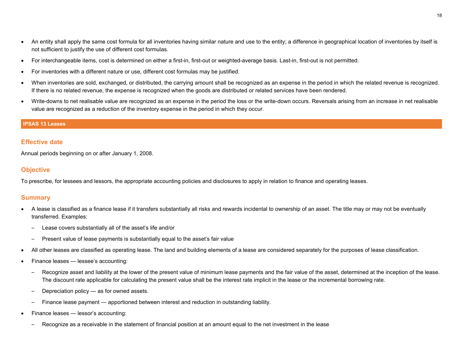- An entity shall apply the same cost formula for all inventories having similar nature and use to the entity; a difference in geographical location of inventories by itself is not sufficient to justify the use of different cost formulas.
- For interchangeable items, cost is determined on either a first-in, first-out or weighted-average basis. Last-in, first-out is not permitted.
- For inventories with a different nature or use, different cost formulas may be justified.
- When inventories are sold, exchanged, or distributed, the carrying amount shall be recognized as an expense in the period in which the related revenue is recognized. If there is no related revenue, the expense is recognized when the goods are distributed or related services have been rendered.
- Write-downs to net realisable value are recognized as an expense in the period the loss or the write-down occurs. Reversals arising from an increase in net realisable value are recognized as a reduction of the inventory expense in the period in which they occur.

#### **IPSAS 13 Leases**

#### **Effective date**

Annual periods beginning on or after January 1, 2008.

#### **Objective**

To prescribe, for lessees and lessors, the appropriate accounting policies and disclosures to apply in relation to finance and operating leases.

- A lease is classified as a finance lease if it transfers substantially all risks and rewards incidental to ownership of an asset. The title may or may not be eventually transferred. Examples:
	- Lease covers substantially all of the asset's life and/or
	- Present value of lease payments is substantially equal to the asset's fair value
- All other leases are classified as operating lease. The land and building elements of a lease are considered separately for the purposes of lease classification.
- Finance leases lessee's accounting:
	- Recognize asset and liability at the lower of the present value of minimum lease payments and the fair value of the asset, determined at the inception of the lease. The discount rate applicable for calculating the present value shall be the interest rate implicit in the lease or the incremental borrowing rate.
	- Depreciation policy as for owned assets.
	- Finance lease payment apportioned between interest and reduction in outstanding liability.
- Finance leases lessor's accounting:
	- Recognize as a receivable in the statement of financial position at an amount equal to the net investment in the lease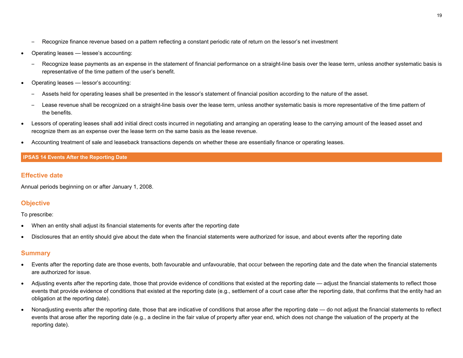- Recognize finance revenue based on a pattern reflecting a constant periodic rate of return on the lessor's net investment
- Operating leases lessee's accounting:
	- Recognize lease payments as an expense in the statement of financial performance on a straight-line basis over the lease term, unless another systematic basis is representative of the time pattern of the user's benefit.
- Operating leases lessor's accounting:
	- Assets held for operating leases shall be presented in the lessor's statement of financial position according to the nature of the asset.
	- Lease revenue shall be recognized on a straight-line basis over the lease term, unless another systematic basis is more representative of the time pattern of the benefits.
- Lessors of operating leases shall add initial direct costs incurred in negotiating and arranging an operating lease to the carrying amount of the leased asset and recognize them as an expense over the lease term on the same basis as the lease revenue.
- Accounting treatment of sale and leaseback transactions depends on whether these are essentially finance or operating leases.

#### **IPSAS 14 Events After the Reporting Date**

## **Effective date**

Annual periods beginning on or after January 1, 2008.

## **Objective**

#### To prescribe:

- When an entity shall adjust its financial statements for events after the reporting date
- Disclosures that an entity should give about the date when the financial statements were authorized for issue, and about events after the reporting date

- Events after the reporting date are those events, both favourable and unfavourable, that occur between the reporting date and the date when the financial statements are authorized for issue.
- Adjusting events after the reporting date, those that provide evidence of conditions that existed at the reporting date adjust the financial statements to reflect those events that provide evidence of conditions that existed at the reporting date (e.g., settlement of a court case after the reporting date, that confirms that the entity had an obligation at the reporting date).
- Nonadjusting events after the reporting date, those that are indicative of conditions that arose after the reporting date do not adjust the financial statements to reflect events that arose after the reporting date (e.g., a decline in the fair value of property after year end, which does not change the valuation of the property at the reporting date).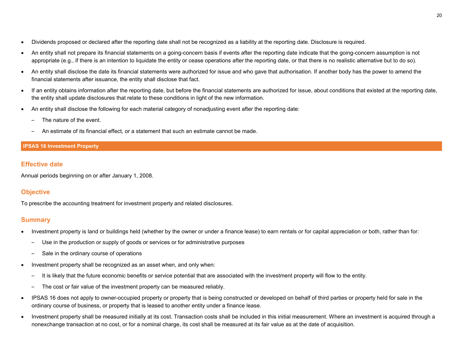- Dividends proposed or declared after the reporting date shall not be recognized as a liability at the reporting date. Disclosure is required.
- An entity shall not prepare its financial statements on a going-concern basis if events after the reporting date indicate that the going-concern assumption is not appropriate (e.g., if there is an intention to liquidate the entity or cease operations after the reporting date, or that there is no realistic alternative but to do so).
- An entity shall disclose the date its financial statements were authorized for issue and who gave that authorisation. If another body has the power to amend the financial statements after issuance, the entity shall disclose that fact.
- If an entity obtains information after the reporting date, but before the financial statements are authorized for issue, about conditions that existed at the reporting date, the entity shall update disclosures that relate to these conditions in light of the new information.
- An entity shall disclose the following for each material category of nonadjusting event after the reporting date:
	- The nature of the event.
	- An estimate of its financial effect, or a statement that such an estimate cannot be made.

## **IPSAS 16 Investment Property**

## **Effective date**

Annual periods beginning on or after January 1, 2008.

## **Objective**

To prescribe the accounting treatment for investment property and related disclosures.

- Investment property is land or buildings held (whether by the owner or under a finance lease) to earn rentals or for capital appreciation or both, rather than for:
	- Use in the production or supply of goods or services or for administrative purposes
	- Sale in the ordinary course of operations
- Investment property shall be recognized as an asset when, and only when:
	- It is likely that the future economic benefits or service potential that are associated with the investment property will flow to the entity.
	- The cost or fair value of the investment property can be measured reliably.
- IPSAS 16 does not apply to owner-occupied property or property that is being constructed or developed on behalf of third parties or property held for sale in the ordinary course of business, or property that is leased to another entity under a finance lease.
- Investment property shall be measured initially at its cost. Transaction costs shall be included in this initial measurement. Where an investment is acquired through a nonexchange transaction at no cost, or for a nominal charge, its cost shall be measured at its fair value as at the date of acquisition.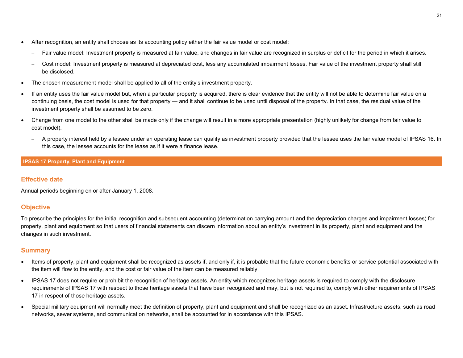- After recognition, an entity shall choose as its accounting policy either the fair value model or cost model:
	- Fair value model: Investment property is measured at fair value, and changes in fair value are recognized in surplus or deficit for the period in which it arises.
	- Cost model: Investment property is measured at depreciated cost, less any accumulated impairment losses. Fair value of the investment property shall still be disclosed.
- The chosen measurement model shall be applied to all of the entity's investment property.
- If an entity uses the fair value model but, when a particular property is acquired, there is clear evidence that the entity will not be able to determine fair value on a continuing basis, the cost model is used for that property — and it shall continue to be used until disposal of the property. In that case, the residual value of the investment property shall be assumed to be zero.
- Change from one model to the other shall be made only if the change will result in a more appropriate presentation (highly unlikely for change from fair value to cost model).
	- A property interest held by a lessee under an operating lease can qualify as investment property provided that the lessee uses the fair value model of IPSAS 16. In this case, the lessee accounts for the lease as if it were a finance lease.

## **IPSAS 17 Property, Plant and Equipment**

## **Effective date**

Annual periods beginning on or after January 1, 2008.

## **Objective**

To prescribe the principles for the initial recognition and subsequent accounting (determination carrying amount and the depreciation charges and impairment losses) for property, plant and equipment so that users of financial statements can discern information about an entity's investment in its property, plant and equipment and the changes in such investment.

- Items of property, plant and equipment shall be recognized as assets if, and only if, it is probable that the future economic benefits or service potential associated with the item will flow to the entity, and the cost or fair value of the item can be measured reliably.
- IPSAS 17 does not require or prohibit the recognition of heritage assets. An entity which recognizes heritage assets is required to comply with the disclosure requirements of IPSAS 17 with respect to those heritage assets that have been recognized and may, but is not required to, comply with other requirements of IPSAS 17 in respect of those heritage assets.
- Special military equipment will normally meet the definition of property, plant and equipment and shall be recognized as an asset. Infrastructure assets, such as road networks, sewer systems, and communication networks, shall be accounted for in accordance with this IPSAS.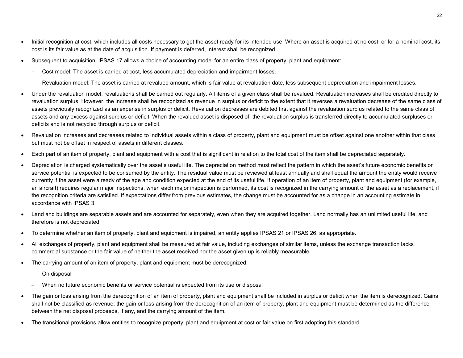- Initial recognition at cost, which includes all costs necessary to get the asset ready for its intended use. Where an asset is acquired at no cost, or for a nominal cost, its cost is its fair value as at the date of acquisition. If payment is deferred, interest shall be recognized.
- Subsequent to acquisition, IPSAS 17 allows a choice of accounting model for an entire class of property, plant and equipment:
	- Cost model: The asset is carried at cost, less accumulated depreciation and impairment losses.
	- Revaluation model: The asset is carried at revalued amount, which is fair value at revaluation date, less subsequent depreciation and impairment losses.
- Under the revaluation model, revaluations shall be carried out regularly. All items of a given class shall be revalued. Revaluation increases shall be credited directly to revaluation surplus. However, the increase shall be recognized as revenue in surplus or deficit to the extent that it reverses a revaluation decrease of the same class of assets previously recognized as an expense in surplus or deficit. Revaluation decreases are debited first against the revaluation surplus related to the same class of assets and any excess against surplus or deficit. When the revalued asset is disposed of, the revaluation surplus is transferred directly to accumulated surpluses or deficits and is not recycled through surplus or deficit.
- Revaluation increases and decreases related to individual assets within a class of property, plant and equipment must be offset against one another within that class but must not be offset in respect of assets in different classes.
- Each part of an item of property, plant and equipment with a cost that is significant in relation to the total cost of the item shall be depreciated separately.
- Depreciation is charged systematically over the asset's useful life. The depreciation method must reflect the pattern in which the asset's future economic benefits or service potential is expected to be consumed by the entity. The residual value must be reviewed at least annually and shall equal the amount the entity would receive currently if the asset were already of the age and condition expected at the end of its useful life. If operation of an item of property, plant and equipment (for example, an aircraft) requires regular major inspections, when each major inspection is performed, its cost is recognized in the carrying amount of the asset as a replacement, if the recognition criteria are satisfied. If expectations differ from previous estimates, the change must be accounted for as a change in an accounting estimate in accordance with IPSAS 3.
- Land and buildings are separable assets and are accounted for separately, even when they are acquired together. Land normally has an unlimited useful life, and therefore is not depreciated.
- To determine whether an item of property, plant and equipment is impaired, an entity applies IPSAS 21 or IPSAS 26, as appropriate.
- All exchanges of property, plant and equipment shall be measured at fair value, including exchanges of similar items, unless the exchange transaction lacks commercial substance or the fair value of neither the asset received nor the asset given up is reliably measurable.
- The carrying amount of an item of property, plant and equipment must be derecognized:
	- On disposal
	- When no future economic benefits or service potential is expected from its use or disposal
- The gain or loss arising from the derecognition of an item of property, plant and equipment shall be included in surplus or deficit when the item is derecognized. Gains shall not be classified as revenue; the gain or loss arising from the derecognition of an item of property, plant and equipment must be determined as the difference between the net disposal proceeds, if any, and the carrying amount of the item.
- The transitional provisions allow entities to recognize property, plant and equipment at cost or fair value on first adopting this standard.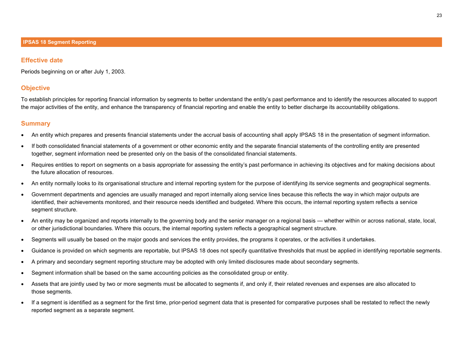#### **Effective date**

Periods beginning on or after July 1, 2003.

## **Objective**

To establish principles for reporting financial information by segments to better understand the entity's past performance and to identify the resources allocated to support the major activities of the entity, and enhance the transparency of financial reporting and enable the entity to better discharge its accountability obligations.

- An entity which prepares and presents financial statements under the accrual basis of accounting shall apply IPSAS 18 in the presentation of segment information.
- If both consolidated financial statements of a government or other economic entity and the separate financial statements of the controlling entity are presented together, segment information need be presented only on the basis of the consolidated financial statements.
- Requires entities to report on segments on a basis appropriate for assessing the entity's past performance in achieving its objectives and for making decisions about the future allocation of resources.
- An entity normally looks to its organisational structure and internal reporting system for the purpose of identifying its service segments and geographical segments.
- Government departments and agencies are usually managed and report internally along service lines because this reflects the way in which major outputs are identified, their achievements monitored, and their resource needs identified and budgeted. Where this occurs, the internal reporting system reflects a service segment structure.
- An entity may be organized and reports internally to the governing body and the senior manager on a regional basis whether within or across national, state, local, or other jurisdictional boundaries. Where this occurs, the internal reporting system reflects a geographical segment structure.
- Segments will usually be based on the major goods and services the entity provides, the programs it operates, or the activities it undertakes.
- Guidance is provided on which segments are reportable, but IPSAS 18 does not specify quantitative thresholds that must be applied in identifying reportable segments.
- A primary and secondary segment reporting structure may be adopted with only limited disclosures made about secondary segments.
- Segment information shall be based on the same accounting policies as the consolidated group or entity.
- Assets that are jointly used by two or more segments must be allocated to segments if, and only if, their related revenues and expenses are also allocated to those segments.
- If a segment is identified as a segment for the first time, prior-period segment data that is presented for comparative purposes shall be restated to reflect the newly reported segment as a separate segment.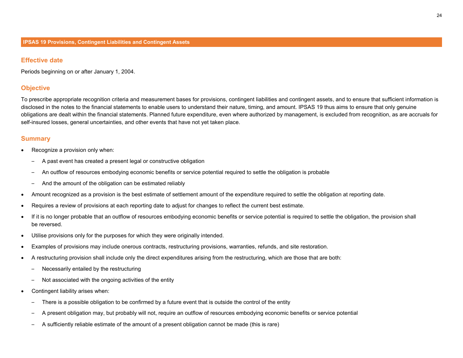#### **Effective date**

Periods beginning on or after January 1, 2004.

## **Objective**

To prescribe appropriate recognition criteria and measurement bases for provisions, contingent liabilities and contingent assets, and to ensure that sufficient information is disclosed in the notes to the financial statements to enable users to understand their nature, timing, and amount. IPSAS 19 thus aims to ensure that only genuine obligations are dealt within the financial statements. Planned future expenditure, even where authorized by management, is excluded from recognition, as are accruals for self-insured losses, general uncertainties, and other events that have not yet taken place.

- Recognize a provision only when:
	- A past event has created a present legal or constructive obligation
	- An outflow of resources embodying economic benefits or service potential required to settle the obligation is probable
	- And the amount of the obligation can be estimated reliably
- Amount recognized as a provision is the best estimate of settlement amount of the expenditure required to settle the obligation at reporting date.
- Requires a review of provisions at each reporting date to adjust for changes to reflect the current best estimate.
- If it is no longer probable that an outflow of resources embodying economic benefits or service potential is required to settle the obligation, the provision shall be reversed.
- Utilise provisions only for the purposes for which they were originally intended.
- Examples of provisions may include onerous contracts, restructuring provisions, warranties, refunds, and site restoration.
- A restructuring provision shall include only the direct expenditures arising from the restructuring, which are those that are both:
	- Necessarily entailed by the restructuring
	- Not associated with the ongoing activities of the entity
- Contingent liability arises when:
	- There is a possible obligation to be confirmed by a future event that is outside the control of the entity
	- A present obligation may, but probably will not, require an outflow of resources embodying economic benefits or service potential
	- A sufficiently reliable estimate of the amount of a present obligation cannot be made (this is rare)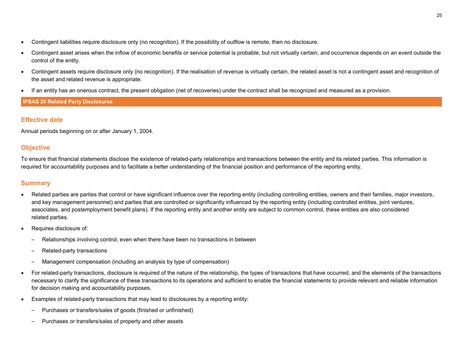- Contingent liabilities require disclosure only (no recognition). If the possibility of outflow is remote, then no disclosure.
- Contingent asset arises when the inflow of economic benefits or service potential is probable, but not virtually certain, and occurrence depends on an event outside the control of the entity.
- Contingent assets require disclosure only (no recognition). If the realisation of revenue is virtually certain, the related asset is not a contingent asset and recognition of the asset and related revenue is appropriate.
- If an entity has an onerous contract, the present obligation (net of recoveries) under the contract shall be recognized and measured as a provision.

## **IPSAS 20 Related Party Disclosures**

## **Effective date**

Annual periods beginning on or after January 1, 2004.

## **Objective**

To ensure that financial statements disclose the existence of related-party relationships and transactions between the entity and its related parties. This information is required for accountability purposes and to facilitate a better understanding of the financial position and performance of the reporting entity.

- Related parties are parties that control or have significant influence over the reporting entity (including controlling entities, owners and their families, major investors, and key management personnel) and parties that are controlled or significantly influenced by the reporting entity (including controlled entities, joint ventures, associates, and postemployment benefit plans). If the reporting entity and another entity are subject to common control, these entities are also considered related parties.
- Requires disclosure of:
	- Relationships involving control, even when there have been no transactions in between
	- Related-party transactions
	- Management compensation (including an analysis by type of compensation)
- For related-party transactions, disclosure is required of the nature of the relationship, the types of transactions that have occurred, and the elements of the transactions necessary to clarify the significance of these transactions to its operations and sufficient to enable the financial statements to provide relevant and reliable information for decision making and accountability purposes.
- Examples of related-party transactions that may lead to disclosures by a reporting entity:
	- Purchases or transfers/sales of goods (finished or unfinished)
	- Purchases or transfers/sales of property and other assets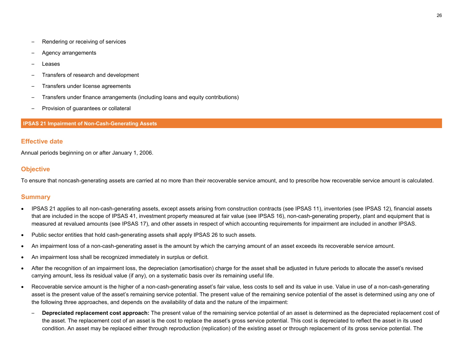- Rendering or receiving of services
- Agency arrangements
- **Leases**
- Transfers of research and development
- Transfers under license agreements
- Transfers under finance arrangements (including loans and equity contributions)
- Provision of guarantees or collateral

#### **IPSAS 21 Impairment of Non-Cash-Generating Assets**

#### **Effective date**

Annual periods beginning on or after January 1, 2006.

## **Objective**

To ensure that noncash-generating assets are carried at no more than their recoverable service amount, and to prescribe how recoverable service amount is calculated.

- IPSAS 21 applies to all non-cash-generating assets, except assets arising from construction contracts (see IPSAS 11), inventories (see IPSAS 12), financial assets that are included in the scope of IPSAS 41, investment property measured at fair value (see IPSAS 16), non-cash-generating property, plant and equipment that is measured at revalued amounts (see IPSAS 17), and other assets in respect of which accounting requirements for impairment are included in another IPSAS.
- Public sector entities that hold cash-generating assets shall apply IPSAS 26 to such assets.
- An impairment loss of a non-cash-generating asset is the amount by which the carrying amount of an asset exceeds its recoverable service amount.
- An impairment loss shall be recognized immediately in surplus or deficit.
- After the recognition of an impairment loss, the depreciation (amortisation) charge for the asset shall be adjusted in future periods to allocate the asset's revised carrying amount, less its residual value (if any), on a systematic basis over its remaining useful life.
- Recoverable service amount is the higher of a non-cash-generating asset's fair value, less costs to sell and its value in use. Value in use of a non-cash-generating asset is the present value of the asset's remaining service potential. The present value of the remaining service potential of the asset is determined using any one of the following three approaches, and depends on the availability of data and the nature of the impairment:
	- **Depreciated replacement cost approach:** The present value of the remaining service potential of an asset is determined as the depreciated replacement cost of the asset. The replacement cost of an asset is the cost to replace the asset's gross service potential. This cost is depreciated to reflect the asset in its used condition. An asset may be replaced either through reproduction (replication) of the existing asset or through replacement of its gross service potential. The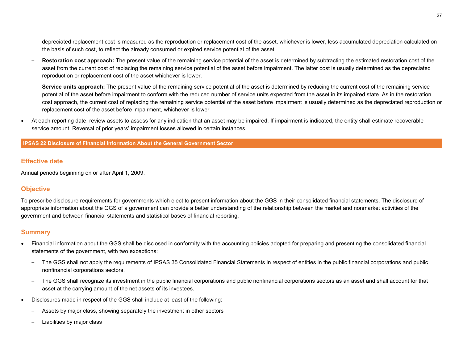depreciated replacement cost is measured as the reproduction or replacement cost of the asset, whichever is lower, less accumulated depreciation calculated on the basis of such cost, to reflect the already consumed or expired service potential of the asset.

- **Restoration cost approach:** The present value of the remaining service potential of the asset is determined by subtracting the estimated restoration cost of the asset from the current cost of replacing the remaining service potential of the asset before impairment. The latter cost is usually determined as the depreciated reproduction or replacement cost of the asset whichever is lower.
- **Service units approach:** The present value of the remaining service potential of the asset is determined by reducing the current cost of the remaining service potential of the asset before impairment to conform with the reduced number of service units expected from the asset in its impaired state. As in the restoration cost approach, the current cost of replacing the remaining service potential of the asset before impairment is usually determined as the depreciated reproduction or replacement cost of the asset before impairment, whichever is lower
- At each reporting date, review assets to assess for any indication that an asset may be impaired. If impairment is indicated, the entity shall estimate recoverable service amount. Reversal of prior years' impairment losses allowed in certain instances.

#### **IPSAS 22 Disclosure of Financial Information About the General Government Sector**

#### **Effective date**

Annual periods beginning on or after April 1, 2009.

## **Objective**

To prescribe disclosure requirements for governments which elect to present information about the GGS in their consolidated financial statements. The disclosure of appropriate information about the GGS of a government can provide a better understanding of the relationship between the market and nonmarket activities of the government and between financial statements and statistical bases of financial reporting.

- Financial information about the GGS shall be disclosed in conformity with the accounting policies adopted for preparing and presenting the consolidated financial statements of the government, with two exceptions:
	- The GGS shall not apply the requirements of IPSAS 35 Consolidated Financial Statements in respect of entities in the public financial corporations and public nonfinancial corporations sectors.
	- The GGS shall recognize its investment in the public financial corporations and public nonfinancial corporations sectors as an asset and shall account for that asset at the carrying amount of the net assets of its investees.
- Disclosures made in respect of the GGS shall include at least of the following:
	- Assets by major class, showing separately the investment in other sectors
	- Liabilities by major class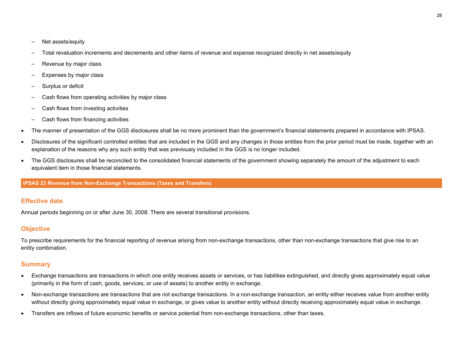- Net assets/equity
- Total revaluation increments and decrements and other items of revenue and expense recognized directly in net assets/equity
- Revenue by major class
- Expenses by major class
- Surplus or deficit
- Cash flows from operating activities by major class
- Cash flows from investing activities
- Cash flows from financing activities
- The manner of presentation of the GGS disclosures shall be no more prominent than the government's financial statements prepared in accordance with IPSAS.
- Disclosures of the significant controlled entities that are included in the GGS and any changes in those entities from the prior period must be made, together with an explanation of the reasons why any such entity that was previously included in the GGS is no longer included.
- The GGS disclosures shall be reconciled to the consolidated financial statements of the government showing separately the amount of the adjustment to each equivalent item in those financial statements.

## **IPSAS 23 Revenue from Non-Exchange Transactions (Taxes and Transfers)**

## **Effective date**

Annual periods beginning on or after June 30, 2008. There are several transitional provisions.

## **Objective**

To prescribe requirements for the financial reporting of revenue arising from non-exchange transactions, other than non-exchange transactions that give rise to an entity combination.

- Exchange transactions are transactions in which one entity receives assets or services, or has liabilities extinguished, and directly gives approximately equal value (primarily in the form of cash, goods, services, or use of assets) to another entity in exchange.
- Non-exchange transactions are transactions that are not exchange transactions. In a non-exchange transaction, an entity either receives value from another entity without directly giving approximately equal value in exchange, or gives value to another entity without directly receiving approximately equal value in exchange.
- Transfers are inflows of future economic benefits or service potential from non-exchange transactions, other than taxes.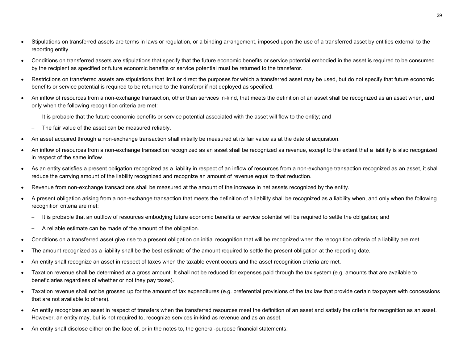- Stipulations on transferred assets are terms in laws or regulation, or a binding arrangement, imposed upon the use of a transferred asset by entities external to the reporting entity.
- Conditions on transferred assets are stipulations that specify that the future economic benefits or service potential embodied in the asset is required to be consumed by the recipient as specified or future economic benefits or service potential must be returned to the transferor.
- Restrictions on transferred assets are stipulations that limit or direct the purposes for which a transferred asset may be used, but do not specify that future economic benefits or service potential is required to be returned to the transferor if not deployed as specified.
- An inflow of resources from a non-exchange transaction, other than services in-kind, that meets the definition of an asset shall be recognized as an asset when, and only when the following recognition criteria are met:
	- It is probable that the future economic benefits or service potential associated with the asset will flow to the entity; and
	- The fair value of the asset can be measured reliably.
- An asset acquired through a non-exchange transaction shall initially be measured at its fair value as at the date of acquisition.
- An inflow of resources from a non-exchange transaction recognized as an asset shall be recognized as revenue, except to the extent that a liability is also recognized in respect of the same inflow.
- As an entity satisfies a present obligation recognized as a liability in respect of an inflow of resources from a non-exchange transaction recognized as an asset, it shall reduce the carrying amount of the liability recognized and recognize an amount of revenue equal to that reduction.
- Revenue from non-exchange transactions shall be measured at the amount of the increase in net assets recognized by the entity.
- A present obligation arising from a non-exchange transaction that meets the definition of a liability shall be recognized as a liability when, and only when the following recognition criteria are met:
	- It is probable that an outflow of resources embodying future economic benefits or service potential will be required to settle the obligation; and
	- A reliable estimate can be made of the amount of the obligation.
- Conditions on a transferred asset give rise to a present obligation on initial recognition that will be recognized when the recognition criteria of a liability are met.
- The amount recognized as a liability shall be the best estimate of the amount required to settle the present obligation at the reporting date.
- An entity shall recognize an asset in respect of taxes when the taxable event occurs and the asset recognition criteria are met.
- Taxation revenue shall be determined at a gross amount. It shall not be reduced for expenses paid through the tax system (e.g. amounts that are available to beneficiaries regardless of whether or not they pay taxes).
- Taxation revenue shall not be grossed up for the amount of tax expenditures (e.g. preferential provisions of the tax law that provide certain taxpayers with concessions that are not available to others).
- An entity recognizes an asset in respect of transfers when the transferred resources meet the definition of an asset and satisfy the criteria for recognition as an asset. However, an entity may, but is not required to, recognize services in-kind as revenue and as an asset.
- An entity shall disclose either on the face of, or in the notes to, the general-purpose financial statements: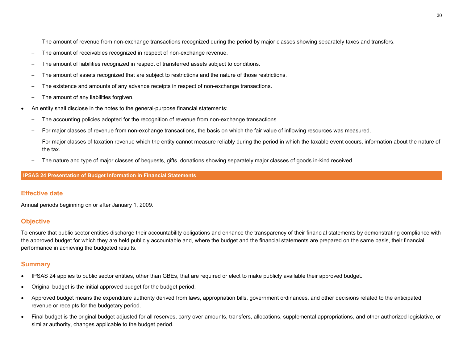- The amount of revenue from non-exchange transactions recognized during the period by major classes showing separately taxes and transfers.
- The amount of receivables recognized in respect of non-exchange revenue.
- The amount of liabilities recognized in respect of transferred assets subject to conditions.
- The amount of assets recognized that are subject to restrictions and the nature of those restrictions.
- The existence and amounts of any advance receipts in respect of non-exchange transactions.
- The amount of any liabilities forgiven.
- An entity shall disclose in the notes to the general-purpose financial statements:
	- The accounting policies adopted for the recognition of revenue from non-exchange transactions.
	- For major classes of revenue from non-exchange transactions, the basis on which the fair value of inflowing resources was measured.
	- For major classes of taxation revenue which the entity cannot measure reliably during the period in which the taxable event occurs, information about the nature of the tax.
	- The nature and type of major classes of bequests, gifts, donations showing separately major classes of goods in-kind received.

#### **IPSAS 24 Presentation of Budget Information in Financial Statements**

## **Effective date**

Annual periods beginning on or after January 1, 2009.

## **Objective**

To ensure that public sector entities discharge their accountability obligations and enhance the transparency of their financial statements by demonstrating compliance with the approved budget for which they are held publicly accountable and, where the budget and the financial statements are prepared on the same basis, their financial performance in achieving the budgeted results.

- IPSAS 24 applies to public sector entities, other than GBEs, that are required or elect to make publicly available their approved budget.
- Original budget is the initial approved budget for the budget period.
- Approved budget means the expenditure authority derived from laws, appropriation bills, government ordinances, and other decisions related to the anticipated revenue or receipts for the budgetary period.
- Final budget is the original budget adjusted for all reserves, carry over amounts, transfers, allocations, supplemental appropriations, and other authorized legislative, or similar authority, changes applicable to the budget period.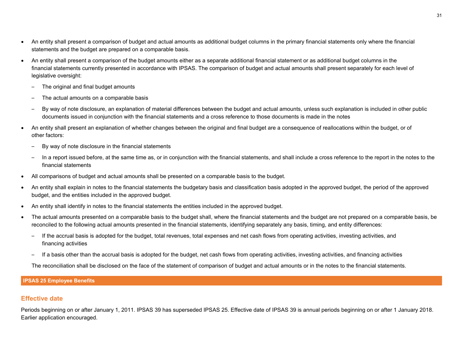- An entity shall present a comparison of budget and actual amounts as additional budget columns in the primary financial statements only where the financial statements and the budget are prepared on a comparable basis.
- An entity shall present a comparison of the budget amounts either as a separate additional financial statement or as additional budget columns in the financial statements currently presented in accordance with IPSAS. The comparison of budget and actual amounts shall present separately for each level of legislative oversight:
	- The original and final budget amounts
	- The actual amounts on a comparable basis
	- By way of note disclosure, an explanation of material differences between the budget and actual amounts, unless such explanation is included in other public documents issued in conjunction with the financial statements and a cross reference to those documents is made in the notes
- An entity shall present an explanation of whether changes between the original and final budget are a consequence of reallocations within the budget, or of other factors:
	- By way of note disclosure in the financial statements
	- In a report issued before, at the same time as, or in conjunction with the financial statements, and shall include a cross reference to the report in the notes to the financial statements
- All comparisons of budget and actual amounts shall be presented on a comparable basis to the budget.
- An entity shall explain in notes to the financial statements the budgetary basis and classification basis adopted in the approved budget, the period of the approved budget, and the entities included in the approved budget.
- An entity shall identify in notes to the financial statements the entities included in the approved budget.
- The actual amounts presented on a comparable basis to the budget shall, where the financial statements and the budget are not prepared on a comparable basis, be reconciled to the following actual amounts presented in the financial statements, identifying separately any basis, timing, and entity differences:
	- If the accrual basis is adopted for the budget, total revenues, total expenses and net cash flows from operating activities, investing activities, and financing activities
	- If a basis other than the accrual basis is adopted for the budget, net cash flows from operating activities, investing activities, and financing activities

The reconciliation shall be disclosed on the face of the statement of comparison of budget and actual amounts or in the notes to the financial statements.

#### **IPSAS 25 Employee Benefits**

#### **Effective date**

Periods beginning on or after January 1, 2011. IPSAS 39 has superseded IPSAS 25. Effective date of IPSAS 39 is annual periods beginning on or after 1 January 2018. Earlier application encouraged.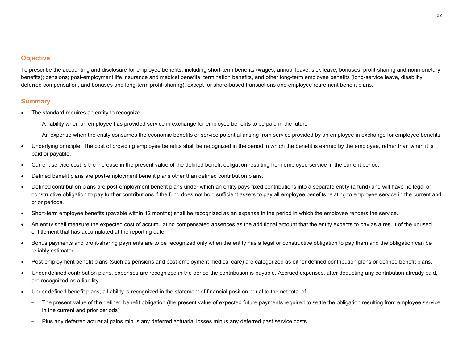## **Objective**

To prescribe the accounting and disclosure for employee benefits, including short-term benefits (wages, annual leave, sick leave, bonuses, profit-sharing and nonmonetary benefits); pensions; post-employment life insurance and medical benefits; termination benefits, and other long-term employee benefits (long-service leave, disability, deferred compensation, and bonuses and long-term profit-sharing), except for share-based transactions and employee retirement benefit plans.

- The standard requires an entity to recognize:
	- A liability when an employee has provided service in exchange for employee benefits to be paid in the future
	- An expense when the entity consumes the economic benefits or service potential arising from service provided by an employee in exchange for employee benefits
- Underlying principle: The cost of providing employee benefits shall be recognized in the period in which the benefit is earned by the employee, rather than when it is paid or payable.
- Current service cost is the increase in the present value of the defined benefit obligation resulting from employee service in the current period.
- Defined benefit plans are post-employment benefit plans other than defined contribution plans.
- Defined contribution plans are post-employment benefit plans under which an entity pays fixed contributions into a separate entity (a fund) and will have no legal or constructive obligation to pay further contributions if the fund does not hold sufficient assets to pay all employee benefits relating to employee service in the current and prior periods.
- Short-term employee benefits (payable within 12 months) shall be recognized as an expense in the period in which the employee renders the service.
- An entity shall measure the expected cost of accumulating compensated absences as the additional amount that the entity expects to pay as a result of the unused entitlement that has accumulated at the reporting date.
- Bonus payments and profit-sharing payments are to be recognized only when the entity has a legal or constructive obligation to pay them and the obligation can be reliably estimated.
- Post-employment benefit plans (such as pensions and post-employment medical care) are categorized as either defined contribution plans or defined benefit plans.
- Under defined contribution plans, expenses are recognized in the period the contribution is payable. Accrued expenses, after deducting any contribution already paid, are recognized as a liability.
- Under defined benefit plans, a liability is recognized in the statement of financial position equal to the net total of:
	- The present value of the defined benefit obligation (the present value of expected future payments required to settle the obligation resulting from employee service in the current and prior periods)
	- Plus any deferred actuarial gains minus any deferred actuarial losses minus any deferred past service costs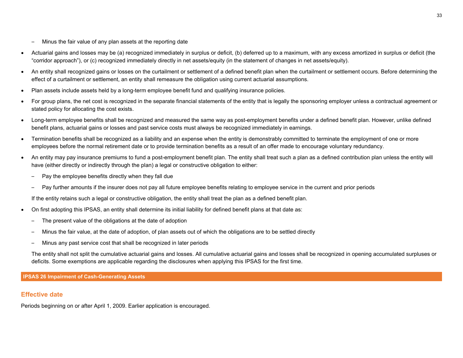- Minus the fair value of any plan assets at the reporting date
- Actuarial gains and losses may be (a) recognized immediately in surplus or deficit, (b) deferred up to a maximum, with any excess amortized in surplus or deficit (the "corridor approach"), or (c) recognized immediately directly in net assets/equity (in the statement of changes in net assets/equity).
- An entity shall recognized gains or losses on the curtailment or settlement of a defined benefit plan when the curtailment or settlement occurs. Before determining the effect of a curtailment or settlement, an entity shall remeasure the obligation using current actuarial assumptions.
- Plan assets include assets held by a long-term employee benefit fund and qualifying insurance policies.
- For group plans, the net cost is recognized in the separate financial statements of the entity that is legally the sponsoring employer unless a contractual agreement or stated policy for allocating the cost exists.
- Long-term employee benefits shall be recognized and measured the same way as post-employment benefits under a defined benefit plan. However, unlike defined benefit plans, actuarial gains or losses and past service costs must always be recognized immediately in earnings.
- Termination benefits shall be recognized as a liability and an expense when the entity is demonstrably committed to terminate the employment of one or more employees before the normal retirement date or to provide termination benefits as a result of an offer made to encourage voluntary redundancy.
- An entity may pay insurance premiums to fund a post-employment benefit plan. The entity shall treat such a plan as a defined contribution plan unless the entity will have (either directly or indirectly through the plan) a legal or constructive obligation to either:
	- Pay the employee benefits directly when they fall due
	- Pay further amounts if the insurer does not pay all future employee benefits relating to employee service in the current and prior periods

If the entity retains such a legal or constructive obligation, the entity shall treat the plan as a defined benefit plan.

- On first adopting this IPSAS, an entity shall determine its initial liability for defined benefit plans at that date as:
	- The present value of the obligations at the date of adoption
	- Minus the fair value, at the date of adoption, of plan assets out of which the obligations are to be settled directly
	- Minus any past service cost that shall be recognized in later periods

The entity shall not split the cumulative actuarial gains and losses. All cumulative actuarial gains and losses shall be recognized in opening accumulated surpluses or deficits. Some exemptions are applicable regarding the disclosures when applying this IPSAS for the first time.

**IPSAS 26 Impairment of Cash-Generating Assets**

## **Effective date**

Periods beginning on or after April 1, 2009. Earlier application is encouraged.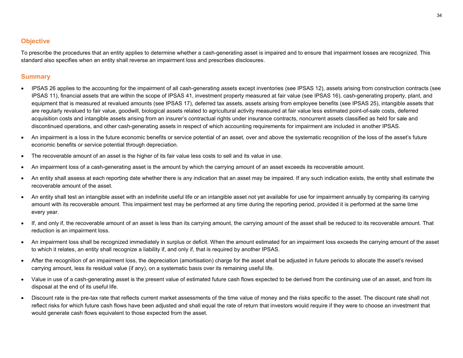## **Objective**

To prescribe the procedures that an entity applies to determine whether a cash-generating asset is impaired and to ensure that impairment losses are recognized. This standard also specifies when an entity shall reverse an impairment loss and prescribes disclosures.

- IPSAS 26 applies to the accounting for the impairment of all cash-generating assets except inventories (see IPSAS 12), assets arising from construction contracts (see IPSAS 11), financial assets that are within the scope of IPSAS 41, investment property measured at fair value (see IPSAS 16), cash-generating property, plant, and equipment that is measured at revalued amounts (see IPSAS 17), deferred tax assets, assets arising from employee benefits (see IPSAS 25), intangible assets that are regularly revalued to fair value, goodwill, biological assets related to agricultural activity measured at fair value less estimated point-of-sale costs, deferred acquisition costs and intangible assets arising from an insurer's contractual rights under insurance contracts, noncurrent assets classified as held for sale and discontinued operations, and other cash-generating assets in respect of which accounting requirements for impairment are included in another IPSAS.
- An impairment is a loss in the future economic benefits or service potential of an asset, over and above the systematic recognition of the loss of the asset's future economic benefits or service potential through depreciation.
- The recoverable amount of an asset is the higher of its fair value less costs to sell and its value in use.
- An impairment loss of a cash-generating asset is the amount by which the carrying amount of an asset exceeds its recoverable amount.
- An entity shall assess at each reporting date whether there is any indication that an asset may be impaired. If any such indication exists, the entity shall estimate the recoverable amount of the asset.
- An entity shall test an intangible asset with an indefinite useful life or an intangible asset not yet available for use for impairment annually by comparing its carrying amount with its recoverable amount. This impairment test may be performed at any time during the reporting period, provided it is performed at the same time every year.
- If, and only if, the recoverable amount of an asset is less than its carrying amount, the carrying amount of the asset shall be reduced to its recoverable amount. That reduction is an impairment loss.
- An impairment loss shall be recognized immediately in surplus or deficit. When the amount estimated for an impairment loss exceeds the carrying amount of the asset to which it relates, an entity shall recognize a liability if, and only if, that is required by another IPSAS.
- After the recognition of an impairment loss, the depreciation (amortisation) charge for the asset shall be adjusted in future periods to allocate the asset's revised carrying amount, less its residual value (if any), on a systematic basis over its remaining useful life.
- Value in use of a cash-generating asset is the present value of estimated future cash flows expected to be derived from the continuing use of an asset, and from its disposal at the end of its useful life.
- Discount rate is the pre-tax rate that reflects current market assessments of the time value of money and the risks specific to the asset. The discount rate shall not reflect risks for which future cash flows have been adjusted and shall equal the rate of return that investors would require if they were to choose an investment that would generate cash flows equivalent to those expected from the asset.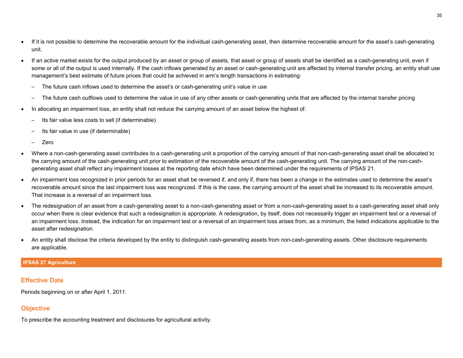- If it is not possible to determine the recoverable amount for the individual cash-generating asset, then determine recoverable amount for the asset's cash-generating unit.
- If an active market exists for the output produced by an asset or group of assets, that asset or group of assets shall be identified as a cash-generating unit, even if some or all of the output is used internally. If the cash inflows generated by an asset or cash-generating unit are affected by internal transfer pricing, an entity shall use management's best estimate of future prices that could be achieved in arm's length transactions in estimating:
	- The future cash inflows used to determine the asset's or cash-generating unit's value in use
	- The future cash outflows used to determine the value in use of any other assets or cash-generating units that are affected by the internal transfer pricing
- In allocating an impairment loss, an entity shall not reduce the carrying amount of an asset below the highest of:
	- Its fair value less costs to sell (if determinable)
	- Its fair value in use (if determinable)
	- Zero
- Where a non-cash-generating asset contributes to a cash-generating unit a proportion of the carrying amount of that non-cash-generating asset shall be allocated to the carrying amount of the cash-generating unit prior to estimation of the recoverable amount of the cash-generating unit. The carrying amount of the non-cashgenerating asset shall reflect any impairment losses at the reporting date which have been determined under the requirements of IPSAS 21.
- An impairment loss recognized in prior periods for an asset shall be reversed if, and only if, there has been a change in the estimates used to determine the asset's recoverable amount since the last impairment loss was recognized. If this is the case, the carrying amount of the asset shall be increased to its recoverable amount. That increase is a reversal of an impairment loss.
- The redesignation of an asset from a cash-generating asset to a non-cash-generating asset or from a non-cash-generating asset to a cash-generating asset shall only occur when there is clear evidence that such a redesignation is appropriate. A redesignation, by itself, does not necessarily trigger an impairment test or a reversal of an impairment loss. Instead, the indication for an impairment test or a reversal of an impairment loss arises from, as a minimum, the listed indications applicable to the asset after redesignation.
- An entity shall disclose the criteria developed by the entity to distinguish cash-generating assets from non-cash-generating assets. Other disclosure requirements are applicable.

#### **IPSAS 27 Agriculture**

## **Effective Date**

Periods beginning on or after April 1, 2011.

## **Objective**

To prescribe the accounting treatment and disclosures for agricultural activity.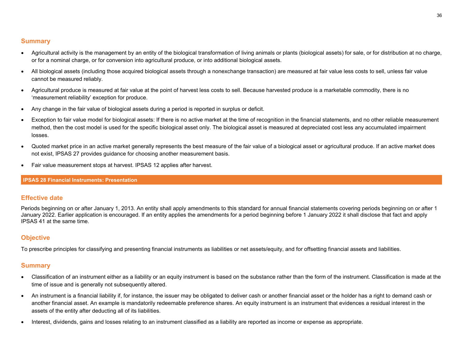## **Summary**

- Agricultural activity is the management by an entity of the biological transformation of living animals or plants (biological assets) for sale, or for distribution at no charge, or for a nominal charge, or for conversion into agricultural produce, or into additional biological assets.
- All biological assets (including those acquired biological assets through a nonexchange transaction) are measured at fair value less costs to sell, unless fair value cannot be measured reliably.
- Agricultural produce is measured at fair value at the point of harvest less costs to sell. Because harvested produce is a marketable commodity, there is no 'measurement reliability' exception for produce.
- Any change in the fair value of biological assets during a period is reported in surplus or deficit.
- Exception to fair value model for biological assets: If there is no active market at the time of recognition in the financial statements, and no other reliable measurement method, then the cost model is used for the specific biological asset only. The biological asset is measured at depreciated cost less any accumulated impairment losses.
- Quoted market price in an active market generally represents the best measure of the fair value of a biological asset or agricultural produce. If an active market does not exist, IPSAS 27 provides guidance for choosing another measurement basis.
- Fair value measurement stops at harvest. IPSAS 12 applies after harvest.

#### **IPSAS 28 Financial Instruments: Presentation**

## **Effective date**

Periods beginning on or after January 1, 2013. An entity shall apply amendments to this standard for annual financial statements covering periods beginning on or after 1 January 2022. Earlier application is encouraged. If an entity applies the amendments for a period beginning before 1 January 2022 it shall disclose that fact and apply IPSAS 41 at the same time.

## **Objective**

To prescribe principles for classifying and presenting financial instruments as liabilities or net assets/equity, and for offsetting financial assets and liabilities.

- Classification of an instrument either as a liability or an equity instrument is based on the substance rather than the form of the instrument. Classification is made at the time of issue and is generally not subsequently altered.
- An instrument is a financial liability if, for instance, the issuer may be obligated to deliver cash or another financial asset or the holder has a right to demand cash or another financial asset. An example is mandatorily redeemable preference shares. An equity instrument is an instrument that evidences a residual interest in the assets of the entity after deducting all of its liabilities.
- Interest, dividends, gains and losses relating to an instrument classified as a liability are reported as income or expense as appropriate.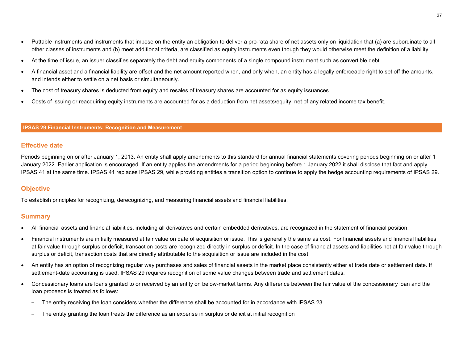- Puttable instruments and instruments that impose on the entity an obligation to deliver a pro-rata share of net assets only on liquidation that (a) are subordinate to all other classes of instruments and (b) meet additional criteria, are classified as equity instruments even though they would otherwise meet the definition of a liability.
- At the time of issue, an issuer classifies separately the debt and equity components of a single compound instrument such as convertible debt.
- A financial asset and a financial liability are offset and the net amount reported when, and only when, an entity has a legally enforceable right to set off the amounts, and intends either to settle on a net basis or simultaneously.
- The cost of treasury shares is deducted from equity and resales of treasury shares are accounted for as equity issuances.
- Costs of issuing or reacquiring equity instruments are accounted for as a deduction from net assets/equity, net of any related income tax benefit.

#### **IPSAS 29 Financial Instruments: Recognition and Measurement**

## **Effective date**

Periods beginning on or after January 1, 2013. An entity shall apply amendments to this standard for annual financial statements covering periods beginning on or after 1 January 2022. Earlier application is encouraged. If an entity applies the amendments for a period beginning before 1 January 2022 it shall disclose that fact and apply IPSAS 41 at the same time. IPSAS 41 replaces IPSAS 29, while providing entities a transition option to continue to apply the hedge accounting requirements of IPSAS 29.

## **Objective**

To establish principles for recognizing, derecognizing, and measuring financial assets and financial liabilities.

- All financial assets and financial liabilities, including all derivatives and certain embedded derivatives, are recognized in the statement of financial position.
- Financial instruments are initially measured at fair value on date of acquisition or issue. This is generally the same as cost. For financial assets and financial liabilities at fair value through surplus or deficit, transaction costs are recognized directly in surplus or deficit. In the case of financial assets and liabilities not at fair value through surplus or deficit, transaction costs that are directly attributable to the acquisition or issue are included in the cost.
- An entity has an option of recognizing regular way purchases and sales of financial assets in the market place consistently either at trade date or settlement date. If settlement-date accounting is used, IPSAS 29 requires recognition of some value changes between trade and settlement dates.
- Concessionary loans are loans granted to or received by an entity on below-market terms. Any difference between the fair value of the concessionary loan and the loan proceeds is treated as follows:
	- The entity receiving the loan considers whether the difference shall be accounted for in accordance with IPSAS 23
	- The entity granting the loan treats the difference as an expense in surplus or deficit at initial recognition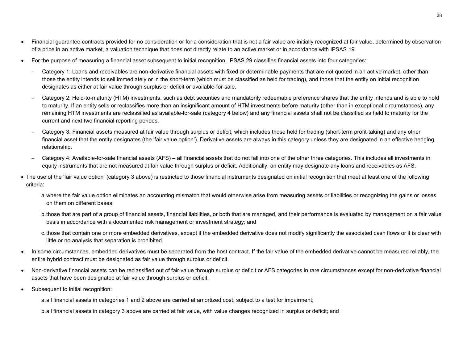- Financial quarantee contracts provided for no consideration or for a consideration that is not a fair value are initially recognized at fair value, determined by observation of a price in an active market, a valuation technique that does not directly relate to an active market or in accordance with IPSAS 19.
- For the purpose of measuring a financial asset subsequent to initial recognition, IPSAS 29 classifies financial assets into four categories:
	- Category 1: Loans and receivables are non-derivative financial assets with fixed or determinable payments that are not quoted in an active market, other than those the entity intends to sell immediately or in the short-term (which must be classified as held for trading), and those that the entity on initial recognition designates as either at fair value through surplus or deficit or available-for-sale.
	- Category 2: Held-to-maturity (HTM) investments, such as debt securities and mandatorily redeemable preference shares that the entity intends and is able to hold to maturity. If an entity sells or reclassifies more than an insignificant amount of HTM investments before maturity (other than in exceptional circumstances), any remaining HTM investments are reclassified as available-for-sale (category 4 below) and any financial assets shall not be classified as held to maturity for the current and next two financial reporting periods.
	- Category 3: Financial assets measured at fair value through surplus or deficit, which includes those held for trading (short-term profit-taking) and any other financial asset that the entity designates (the 'fair value option'). Derivative assets are always in this category unless they are designated in an effective hedging relationship.
	- Category 4: Available-for-sale financial assets (AFS) all financial assets that do not fall into one of the other three categories. This includes all investments in equity instruments that are not measured at fair value through surplus or deficit. Additionally, an entity may designate any loans and receivables as AFS.
- The use of the 'fair value option' (category 3 above) is restricted to those financial instruments designated on initial recognition that meet at least one of the following criteria:
	- a.where the fair value option eliminates an accounting mismatch that would otherwise arise from measuring assets or liabilities or recognizing the gains or losses on them on different bases;
	- b.those that are part of a group of financial assets, financial liabilities, or both that are managed, and their performance is evaluated by management on a fair value basis in accordance with a documented risk management or investment strategy; and
	- c.those that contain one or more embedded derivatives, except if the embedded derivative does not modify significantly the associated cash flows or it is clear with little or no analysis that separation is prohibited.
- In some circumstances, embedded derivatives must be separated from the host contract. If the fair value of the embedded derivative cannot be measured reliably, the entire hybrid contract must be designated as fair value through surplus or deficit.
- Non-derivative financial assets can be reclassified out of fair value through surplus or deficit or AFS categories in rare circumstances except for non-derivative financial assets that have been designated at fair value through surplus or deficit.
- Subsequent to initial recognition:

a.all financial assets in categories 1 and 2 above are carried at amortized cost, subject to a test for impairment;

b.all financial assets in category 3 above are carried at fair value, with value changes recognized in surplus or deficit; and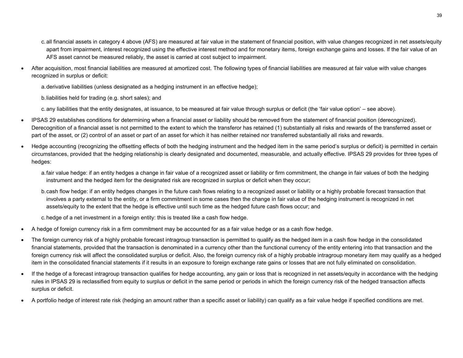- c.all financial assets in category 4 above (AFS) are measured at fair value in the statement of financial position, with value changes recognized in net assets/equity apart from impairment, interest recognized using the effective interest method and for monetary items, foreign exchange gains and losses. If the fair value of an AFS asset cannot be measured reliably, the asset is carried at cost subject to impairment.
- After acquisition, most financial liabilities are measured at amortized cost. The following types of financial liabilities are measured at fair value with value changes recognized in surplus or deficit:
	- a.derivative liabilities (unless designated as a hedging instrument in an effective hedge);
	- b.liabilities held for trading (e.g. short sales); and

c.any liabilities that the entity designates, at issuance, to be measured at fair value through surplus or deficit (the 'fair value option' – see above).

- IPSAS 29 establishes conditions for determining when a financial asset or liability should be removed from the statement of financial position (derecognized). Derecognition of a financial asset is not permitted to the extent to which the transferor has retained (1) substantially all risks and rewards of the transferred asset or part of the asset, or (2) control of an asset or part of an asset for which it has neither retained nor transferred substantially all risks and rewards.
- Hedge accounting (recognizing the offsetting effects of both the hedging instrument and the hedged item in the same period's surplus or deficit) is permitted in certain circumstances, provided that the hedging relationship is clearly designated and documented, measurable, and actually effective. IPSAS 29 provides for three types of hedges:
	- a.fair value hedge: if an entity hedges a change in fair value of a recognized asset or liability or firm commitment, the change in fair values of both the hedging instrument and the hedged item for the designated risk are recognized in surplus or deficit when they occur;
	- b.cash flow hedge: if an entity hedges changes in the future cash flows relating to a recognized asset or liability or a highly probable forecast transaction that involves a party external to the entity, or a firm commitment in some cases then the change in fair value of the hedging instrument is recognized in net assets/equity to the extent that the hedge is effective until such time as the hedged future cash flows occur; and
	- c.hedge of a net investment in a foreign entity: this is treated like a cash flow hedge.
- A hedge of foreign currency risk in a firm commitment may be accounted for as a fair value hedge or as a cash flow hedge.
- The foreign currency risk of a highly probable forecast intragroup transaction is permitted to qualify as the hedged item in a cash flow hedge in the consolidated financial statements, provided that the transaction is denominated in a currency other than the functional currency of the entity entering into that transaction and the foreign currency risk will affect the consolidated surplus or deficit. Also, the foreign currency risk of a highly probable intragroup monetary item may qualify as a hedged item in the consolidated financial statements if it results in an exposure to foreign exchange rate gains or losses that are not fully eliminated on consolidation.
- If the hedge of a forecast intragroup transaction qualifies for hedge accounting, any gain or loss that is recognized in net assets/equity in accordance with the hedging rules in IPSAS 29 is reclassified from equity to surplus or deficit in the same period or periods in which the foreign currency risk of the hedged transaction affects surplus or deficit.
- A portfolio hedge of interest rate risk (hedging an amount rather than a specific asset or liability) can qualify as a fair value hedge if specified conditions are met.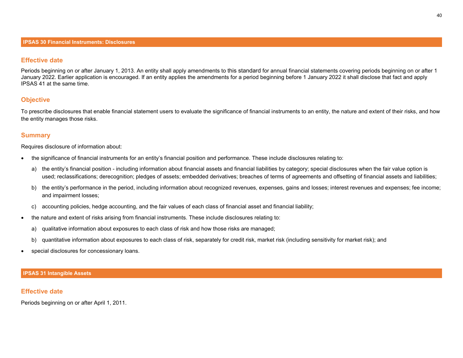## **Effective date**

Periods beginning on or after January 1, 2013. An entity shall apply amendments to this standard for annual financial statements covering periods beginning on or after 1 January 2022. Earlier application is encouraged. If an entity applies the amendments for a period beginning before 1 January 2022 it shall disclose that fact and apply IPSAS 41 at the same time.

## **Objective**

To prescribe disclosures that enable financial statement users to evaluate the significance of financial instruments to an entity, the nature and extent of their risks, and how the entity manages those risks.

## **Summary**

Requires disclosure of information about:

- the significance of financial instruments for an entity's financial position and performance. These include disclosures relating to:
	- a) the entity's financial position including information about financial assets and financial liabilities by category; special disclosures when the fair value option is used; reclassifications; derecognition; pledges of assets; embedded derivatives; breaches of terms of agreements and offsetting of financial assets and liabilities;
	- b) the entity's performance in the period, including information about recognized revenues, expenses, gains and losses; interest revenues and expenses; fee income; and impairment losses;
	- c) accounting policies, hedge accounting, and the fair values of each class of financial asset and financial liability;
- the nature and extent of risks arising from financial instruments. These include disclosures relating to:
	- a) qualitative information about exposures to each class of risk and how those risks are managed;
	- b) quantitative information about exposures to each class of risk, separately for credit risk, market risk (including sensitivity for market risk); and
- special disclosures for concessionary loans.

#### **IPSAS 31 Intangible Assets**

#### **Effective date**

Periods beginning on or after April 1, 2011.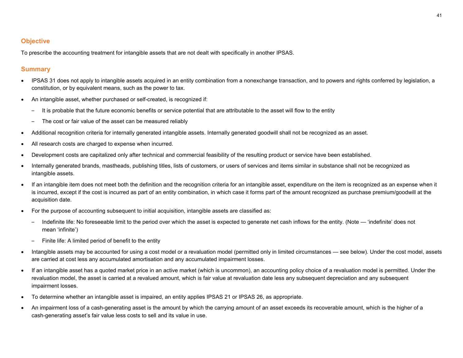## **Objective**

To prescribe the accounting treatment for intangible assets that are not dealt with specifically in another IPSAS.

- IPSAS 31 does not apply to intangible assets acquired in an entity combination from a nonexchange transaction, and to powers and rights conferred by legislation, a constitution, or by equivalent means, such as the power to tax.
- An intangible asset, whether purchased or self-created, is recognized if:
	- It is probable that the future economic benefits or service potential that are attributable to the asset will flow to the entity
	- The cost or fair value of the asset can be measured reliably
- Additional recognition criteria for internally generated intangible assets. Internally generated goodwill shall not be recognized as an asset.
- All research costs are charged to expense when incurred.
- Development costs are capitalized only after technical and commercial feasibility of the resulting product or service have been established.
- Internally generated brands, mastheads, publishing titles, lists of customers, or users of services and items similar in substance shall not be recognized as intangible assets.
- If an intangible item does not meet both the definition and the recognition criteria for an intangible asset, expenditure on the item is recognized as an expense when it is incurred, except if the cost is incurred as part of an entity combination, in which case it forms part of the amount recognized as purchase premium/goodwill at the acquisition date.
- For the purpose of accounting subsequent to initial acquisition, intangible assets are classified as:
	- Indefinite life: No foreseeable limit to the period over which the asset is expected to generate net cash inflows for the entity. (Note 'indefinite' does not mean 'infinite')
	- Finite life: A limited period of benefit to the entity
- Intangible assets may be accounted for using a cost model or a revaluation model (permitted only in limited circumstances see below). Under the cost model, assets are carried at cost less any accumulated amortisation and any accumulated impairment losses.
- If an intangible asset has a quoted market price in an active market (which is uncommon), an accounting policy choice of a revaluation model is permitted. Under the revaluation model, the asset is carried at a revalued amount, which is fair value at revaluation date less any subsequent depreciation and any subsequent impairment losses.
- To determine whether an intangible asset is impaired, an entity applies IPSAS 21 or IPSAS 26, as appropriate.
- An impairment loss of a cash-generating asset is the amount by which the carrying amount of an asset exceeds its recoverable amount, which is the higher of a cash-generating asset's fair value less costs to sell and its value in use.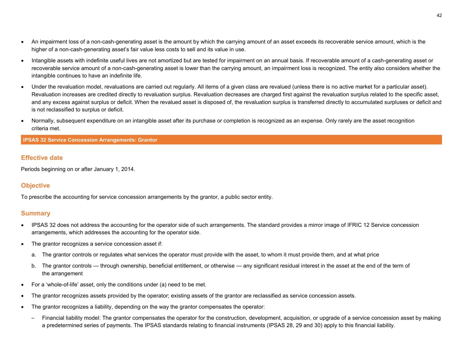- An impairment loss of a non-cash-generating asset is the amount by which the carrying amount of an asset exceeds its recoverable service amount, which is the higher of a non-cash-generating asset's fair value less costs to sell and its value in use.
- Intangible assets with indefinite useful lives are not amortized but are tested for impairment on an annual basis. If recoverable amount of a cash-generating asset or recoverable service amount of a non-cash-generating asset is lower than the carrying amount, an impairment loss is recognized. The entity also considers whether the intangible continues to have an indefinite life.
- Under the revaluation model, revaluations are carried out regularly. All items of a given class are revalued (unless there is no active market for a particular asset). Revaluation increases are credited directly to revaluation surplus. Revaluation decreases are charged first against the revaluation surplus related to the specific asset, and any excess against surplus or deficit. When the revalued asset is disposed of, the revaluation surplus is transferred directly to accumulated surpluses or deficit and is not reclassified to surplus or deficit.
- Normally, subsequent expenditure on an intangible asset after its purchase or completion is recognized as an expense. Only rarely are the asset recognition criteria met.

#### **IPSAS 32 Service Concession Arrangements: Grantor**

#### **Effective date**

Periods beginning on or after January 1, 2014.

## **Objective**

To prescribe the accounting for service concession arrangements by the grantor, a public sector entity.

- IPSAS 32 does not address the accounting for the operator side of such arrangements. The standard provides a mirror image of IFRIC 12 Service concession arrangements, which addresses the accounting for the operator side.
- The grantor recognizes a service concession asset if:
	- a. The grantor controls or regulates what services the operator must provide with the asset, to whom it must provide them, and at what price
	- b. The grantor controls through ownership, beneficial entitlement, or otherwise any significant residual interest in the asset at the end of the term of the arrangement
- For a 'whole-of-life' asset, only the conditions under (a) need to be met.
- The grantor recognizes assets provided by the operator; existing assets of the grantor are reclassified as service concession assets.
- The grantor recognizes a liability, depending on the way the grantor compensates the operator:
	- Financial liability model: The grantor compensates the operator for the construction, development, acquisition, or upgrade of a service concession asset by making a predetermined series of payments. The IPSAS standards relating to financial instruments (IPSAS 28, 29 and 30) apply to this financial liability.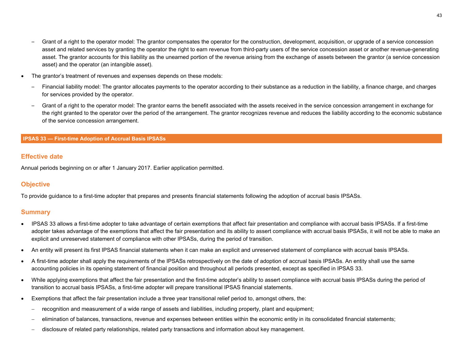43

- Grant of a right to the operator model: The grantor compensates the operator for the construction, development, acquisition, or upgrade of a service concession asset and related services by granting the operator the right to earn revenue from third-party users of the service concession asset or another revenue-generating asset. The grantor accounts for this liability as the unearned portion of the revenue arising from the exchange of assets between the grantor (a service concession asset) and the operator (an intangible asset).
- The grantor's treatment of revenues and expenses depends on these models:
	- Financial liability model: The grantor allocates payments to the operator according to their substance as a reduction in the liability, a finance charge, and charges for services provided by the operator.
	- Grant of a right to the operator model: The grantor earns the benefit associated with the assets received in the service concession arrangement in exchange for the right granted to the operator over the period of the arrangement. The grantor recognizes revenue and reduces the liability according to the economic substance of the service concession arrangement.

## **IPSAS 33 — First-time Adoption of Accrual Basis IPSASs**

## **Effective date**

Annual periods beginning on or after 1 January 2017. Earlier application permitted.

## **Objective**

To provide guidance to a first-time adopter that prepares and presents financial statements following the adoption of accrual basis IPSASs.

- IPSAS 33 allows a first-time adopter to take advantage of certain exemptions that affect fair presentation and compliance with accrual basis IPSASs. If a first-time adopter takes advantage of the exemptions that affect the fair presentation and its ability to assert compliance with accrual basis IPSASs, it will not be able to make an explicit and unreserved statement of compliance with other IPSASs, during the period of transition.
- An entity will present its first IPSAS financial statements when it can make an explicit and unreserved statement of compliance with accrual basis IPSASs.
- A first-time adopter shall apply the requirements of the IPSASs retrospectively on the date of adoption of accrual basis IPSASs. An entity shall use the same accounting policies in its opening statement of financial position and throughout all periods presented, except as specified in IPSAS 33.
- While applying exemptions that affect the fair presentation and the first-time adopter's ability to assert compliance with accrual basis IPSASs during the period of transition to accrual basis IPSASs, a first-time adopter will prepare transitional IPSAS financial statements.
- Exemptions that affect the fair presentation include a three year transitional relief period to, amongst others, the:
	- − recognition and measurement of a wide range of assets and liabilities, including property, plant and equipment;
	- − elimination of balances, transactions, revenue and expenses between entities within the economic entity in its consolidated financial statements;
	- − disclosure of related party relationships, related party transactions and information about key management.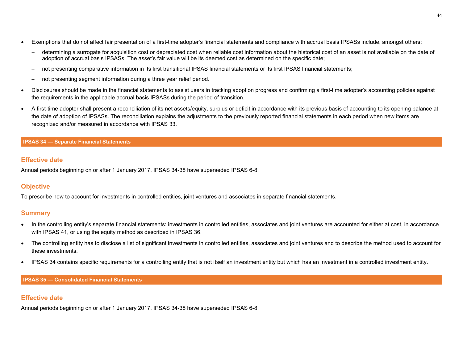- Exemptions that do not affect fair presentation of a first-time adopter's financial statements and compliance with accrual basis IPSASs include, amongst others:
	- − determining a surrogate for acquisition cost or depreciated cost when reliable cost information about the historical cost of an asset is not available on the date of adoption of accrual basis IPSASs. The asset's fair value will be its deemed cost as determined on the specific date;
	- not presenting comparative information in its first transitional IPSAS financial statements or its first IPSAS financial statements;
	- not presenting segment information during a three year relief period.
- Disclosures should be made in the financial statements to assist users in tracking adoption progress and confirming a first-time adopter's accounting policies against the requirements in the applicable accrual basis IPSASs during the period of transition.
- A first-time adopter shall present a reconciliation of its net assets/equity, surplus or deficit in accordance with its previous basis of accounting to its opening balance at the date of adoption of IPSASs. The reconciliation explains the adjustments to the previously reported financial statements in each period when new items are recognized and/or measured in accordance with IPSAS 33.

## **IPSAS 34 — Separate Financial Statements**

## **Effective date**

Annual periods beginning on or after 1 January 2017. IPSAS 34-38 have superseded IPSAS 6-8.

## **Objective**

To prescribe how to account for investments in controlled entities, joint ventures and associates in separate financial statements.

## **Summary**

- In the controlling entity's separate financial statements: investments in controlled entities, associates and joint ventures are accounted for either at cost, in accordance with IPSAS 41, or using the equity method as described in IPSAS 36.
- The controlling entity has to disclose a list of significant investments in controlled entities, associates and joint ventures and to describe the method used to account for these investments.
- IPSAS 34 contains specific requirements for a controlling entity that is not itself an investment entity but which has an investment in a controlled investment entity.

## **IPSAS 35 — Consolidated Financial Statements**

## **Effective date**

Annual periods beginning on or after 1 January 2017. IPSAS 34-38 have superseded IPSAS 6-8.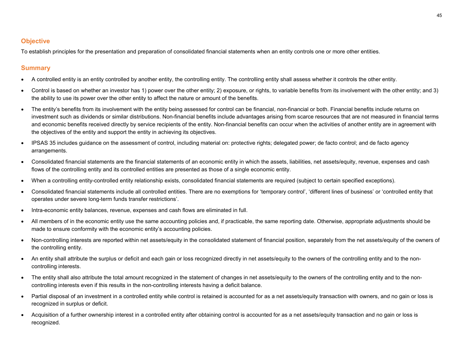## **Objective**

To establish principles for the presentation and preparation of consolidated financial statements when an entity controls one or more other entities.

- A controlled entity is an entity controlled by another entity, the controlling entity. The controlling entity shall assess whether it controls the other entity.
- Control is based on whether an investor has 1) power over the other entity; 2) exposure, or rights, to variable benefits from its involvement with the other entity; and 3) the ability to use its power over the other entity to affect the nature or amount of the benefits.
- The entity's benefits from its involvement with the entity being assessed for control can be financial, non-financial or both. Financial benefits include returns on investment such as dividends or similar distributions. Non-financial benefits include advantages arising from scarce resources that are not measured in financial terms and economic benefits received directly by service recipients of the entity. Non-financial benefits can occur when the activities of another entity are in agreement with the objectives of the entity and support the entity in achieving its objectives.
- IPSAS 35 includes guidance on the assessment of control, including material on: protective rights; delegated power; de facto control; and de facto agency arrangements.
- Consolidated financial statements are the financial statements of an economic entity in which the assets, liabilities, net assets/equity, revenue, expenses and cash flows of the controlling entity and its controlled entities are presented as those of a single economic entity.
- When a controlling entity-controlled entity relationship exists, consolidated financial statements are required (subject to certain specified exceptions).
- Consolidated financial statements include all controlled entities. There are no exemptions for 'temporary control', 'different lines of business' or 'controlled entity that operates under severe long-term funds transfer restrictions'.
- Intra-economic entity balances, revenue, expenses and cash flows are eliminated in full.
- All members of in the economic entity use the same accounting policies and, if practicable, the same reporting date. Otherwise, appropriate adjustments should be made to ensure conformity with the economic entity's accounting policies.
- Non-controlling interests are reported within net assets/equity in the consolidated statement of financial position, separately from the net assets/equity of the owners of the controlling entity.
- An entity shall attribute the surplus or deficit and each gain or loss recognized directly in net assets/equity to the owners of the controlling entity and to the noncontrolling interests.
- The entity shall also attribute the total amount recognized in the statement of changes in net assets/equity to the owners of the controlling entity and to the noncontrolling interests even if this results in the non-controlling interests having a deficit balance.
- Partial disposal of an investment in a controlled entity while control is retained is accounted for as a net assets/equity transaction with owners, and no gain or loss is recognized in surplus or deficit.
- Acquisition of a further ownership interest in a controlled entity after obtaining control is accounted for as a net assets/equity transaction and no gain or loss is recognized.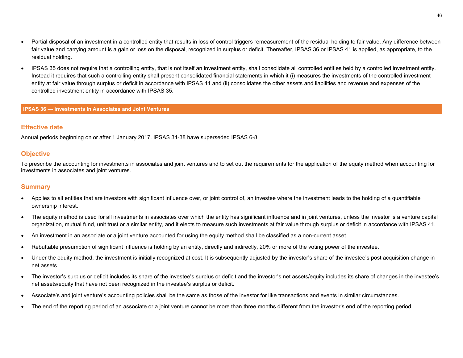- Partial disposal of an investment in a controlled entity that results in loss of control triggers remeasurement of the residual holding to fair value. Any difference between fair value and carrying amount is a gain or loss on the disposal, recognized in surplus or deficit. Thereafter, IPSAS 36 or IPSAS 41 is applied, as appropriate, to the residual holding.
- IPSAS 35 does not require that a controlling entity, that is not itself an investment entity, shall consolidate all controlled entities held by a controlled investment entity. Instead it requires that such a controlling entity shall present consolidated financial statements in which it (i) measures the investments of the controlled investment entity at fair value through surplus or deficit in accordance with IPSAS 41 and (ii) consolidates the other assets and liabilities and revenue and expenses of the controlled investment entity in accordance with IPSAS 35.

#### **IPSAS 36 — Investments in Associates and Joint Ventures**

### **Effective date**

Annual periods beginning on or after 1 January 2017. IPSAS 34-38 have superseded IPSAS 6-8.

#### **Objective**

To prescribe the accounting for investments in associates and joint ventures and to set out the requirements for the application of the equity method when accounting for investments in associates and joint ventures.

- Applies to all entities that are investors with significant influence over, or joint control of, an investee where the investment leads to the holding of a quantifiable ownership interest.
- The equity method is used for all investments in associates over which the entity has significant influence and in joint ventures, unless the investor is a venture capital organization, mutual fund, unit trust or a similar entity, and it elects to measure such investments at fair value through surplus or deficit in accordance with IPSAS 41.
- An investment in an associate or a joint venture accounted for using the equity method shall be classified as a non-current asset.
- Rebuttable presumption of significant influence is holding by an entity, directly and indirectly, 20% or more of the voting power of the investee.
- Under the equity method, the investment is initially recognized at cost. It is subsequently adjusted by the investor's share of the investee's post acquisition change in net assets.
- The investor's surplus or deficit includes its share of the investee's surplus or deficit and the investor's net assets/equity includes its share of changes in the investee's net assets/equity that have not been recognized in the investee's surplus or deficit.
- Associate's and joint venture's accounting policies shall be the same as those of the investor for like transactions and events in similar circumstances.
- The end of the reporting period of an associate or a joint venture cannot be more than three months different from the investor's end of the reporting period.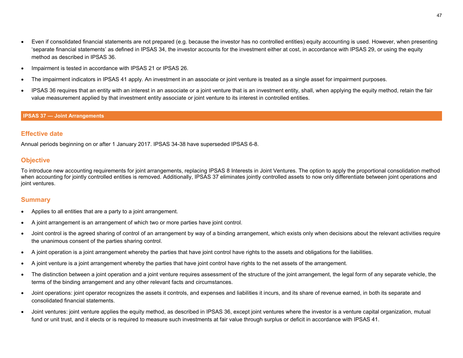- Even if consolidated financial statements are not prepared (e.g. because the investor has no controlled entities) equity accounting is used. However, when presenting 'separate financial statements' as defined in IPSAS 34, the investor accounts for the investment either at cost, in accordance with IPSAS 29, or using the equity method as described in IPSAS 36.
- Impairment is tested in accordance with IPSAS 21 or IPSAS 26.
- The impairment indicators in IPSAS 41 apply. An investment in an associate or joint venture is treated as a single asset for impairment purposes.
- IPSAS 36 requires that an entity with an interest in an associate or a joint venture that is an investment entity, shall, when applying the equity method, retain the fair value measurement applied by that investment entity associate or joint venture to its interest in controlled entities.

#### **IPSAS 37 — Joint Arrangements**

## **Effective date**

Annual periods beginning on or after 1 January 2017. IPSAS 34-38 have superseded IPSAS 6-8.

## **Objective**

To introduce new accounting requirements for joint arrangements, replacing IPSAS 8 Interests in Joint Ventures. The option to apply the proportional consolidation method when accounting for jointly controlled entities is removed. Additionally, IPSAS 37 eliminates jointly controlled assets to now only differentiate between joint operations and joint ventures.

- Applies to all entities that are a party to a joint arrangement.
- A joint arrangement is an arrangement of which two or more parties have joint control.
- Joint control is the agreed sharing of control of an arrangement by way of a binding arrangement, which exists only when decisions about the relevant activities require the unanimous consent of the parties sharing control.
- A joint operation is a joint arrangement whereby the parties that have joint control have rights to the assets and obligations for the liabilities.
- A joint venture is a joint arrangement whereby the parties that have joint control have rights to the net assets of the arrangement.
- The distinction between a joint operation and a joint venture requires assessment of the structure of the joint arrangement, the legal form of any separate vehicle, the terms of the binding arrangement and any other relevant facts and circumstances.
- Joint operations: joint operator recognizes the assets it controls, and expenses and liabilities it incurs, and its share of revenue earned, in both its separate and consolidated financial statements.
- Joint ventures: joint venture applies the equity method, as described in IPSAS 36, except joint ventures where the investor is a venture capital organization, mutual fund or unit trust, and it elects or is required to measure such investments at fair value through surplus or deficit in accordance with IPSAS 41.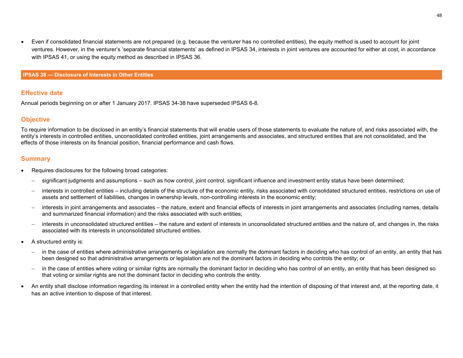• Even if consolidated financial statements are not prepared (e.g. because the venturer has no controlled entities), the equity method is used to account for joint ventures. However, in the venturer's 'separate financial statements' as defined in IPSAS 34, interests in joint ventures are accounted for either at cost, in accordance with IPSAS 41, or using the equity method as described in IPSAS 36.

#### **IPSAS 38 — Disclosure of Interests in Other Entities**

## **Effective date**

Annual periods beginning on or after 1 January 2017. IPSAS 34-38 have superseded IPSAS 6-8.

## **Objective**

To require information to be disclosed in an entity's financial statements that will enable users of those statements to evaluate the nature of, and risks associated with, the entity's interests in controlled entities, unconsolidated controlled entities, joint arrangements and associates, and structured entities that are not consolidated, and the effects of those interests on its financial position, financial performance and cash flows.

- Requires disclosures for the following broad categories:
	- − significant judgments and assumptions such as how control, joint control, significant influence and investment entity status have been determined;
	- interests in controlled entities including details of the structure of the economic entity, risks associated with consolidated structured entities, restrictions on use of assets and settlement of liabilities, changes in ownership levels, non-controlling interests in the economic entity;
	- interests in joint arrangements and associates the nature, extent and financial effects of interests in joint arrangements and associates (including names, details and summarized financial information) and the risks associated with such entities;
	- interests in unconsolidated structured entities the nature and extent of interests in unconsolidated structured entities and the nature of, and changes in, the risks associated with its interests in unconsolidated structured entities.
- A structured entity is:
	- in the case of entities where administrative arrangements or legislation are normally the dominant factors in deciding who has control of an entity, an entity that has been designed so that administrative arrangements or legislation are not the dominant factors in deciding who controls the entity; or
	- in the case of entities where voting or similar rights are normally the dominant factor in deciding who has control of an entity, an entity that has been designed so that voting or similar rights are not the dominant factor in deciding who controls the entity.
- An entity shall disclose information regarding its interest in a controlled entity when the entity had the intention of disposing of that interest and, at the reporting date, it has an active intention to dispose of that interest.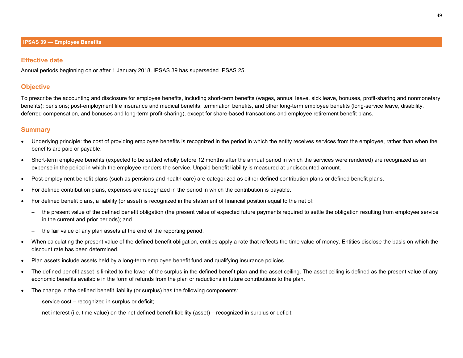#### **Effective date**

Annual periods beginning on or after 1 January 2018. IPSAS 39 has superseded IPSAS 25.

## **Objective**

To prescribe the accounting and disclosure for employee benefits, including short-term benefits (wages, annual leave, sick leave, bonuses, profit-sharing and nonmonetary benefits); pensions; post-employment life insurance and medical benefits; termination benefits, and other long-term employee benefits (long-service leave, disability, deferred compensation, and bonuses and long-term profit-sharing), except for share-based transactions and employee retirement benefit plans.

- Underlying principle: the cost of providing employee benefits is recognized in the period in which the entity receives services from the employee, rather than when the benefits are paid or payable.
- Short-term employee benefits (expected to be settled wholly before 12 months after the annual period in which the services were rendered) are recognized as an expense in the period in which the employee renders the service. Unpaid benefit liability is measured at undiscounted amount.
- Post-employment benefit plans (such as pensions and health care) are categorized as either defined contribution plans or defined benefit plans.
- For defined contribution plans, expenses are recognized in the period in which the contribution is payable.
- For defined benefit plans, a liability (or asset) is recognized in the statement of financial position equal to the net of:
	- − the present value of the defined benefit obligation (the present value of expected future payments required to settle the obligation resulting from employee service in the current and prior periods); and
	- the fair value of any plan assets at the end of the reporting period.
- When calculating the present value of the defined benefit obligation, entities apply a rate that reflects the time value of money. Entities disclose the basis on which the discount rate has been determined.
- Plan assets include assets held by a long-term employee benefit fund and qualifying insurance policies.
- The defined benefit asset is limited to the lower of the surplus in the defined benefit plan and the asset ceiling. The asset ceiling is defined as the present value of any economic benefits available in the form of refunds from the plan or reductions in future contributions to the plan.
- The change in the defined benefit liability (or surplus) has the following components:
	- service cost recognized in surplus or deficit;
	- − net interest (i.e. time value) on the net defined benefit liability (asset) recognized in surplus or deficit;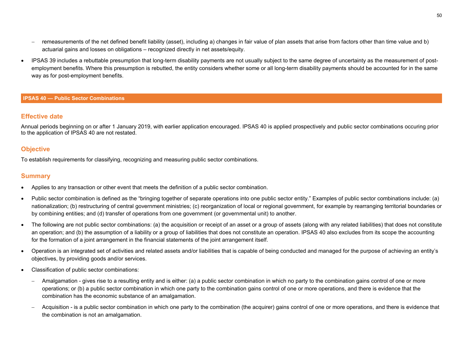- − remeasurements of the net defined benefit liability (asset), including a) changes in fair value of plan assets that arise from factors other than time value and b) actuarial gains and losses on obligations – recognized directly in net assets/equity.
- IPSAS 39 includes a rebuttable presumption that long-term disability payments are not usually subject to the same degree of uncertainty as the measurement of postemployment benefits. Where this presumption is rebutted, the entity considers whether some or all long-term disability payments should be accounted for in the same way as for post-employment benefits.

#### **IPSAS 40 — Public Sector Combinations**

#### **Effective date**

Annual periods beginning on or after 1 January 2019, with earlier application encouraged. IPSAS 40 is applied prospectively and public sector combinations occuring prior to the application of IPSAS 40 are not restated.

## **Objective**

To establish requirements for classifying, recognizing and measuring public sector combinations.

- Applies to any transaction or other event that meets the definition of a public sector combination.
- Public sector combination is defined as the "bringing together of separate operations into one public sector entity." Examples of public sector combinations include: (a) nationalization; (b) restructuring of central government ministries; (c) reorganization of local or regional government, for example by rearranging territorial boundaries or by combining entities; and (d) transfer of operations from one government (or governmental unit) to another.
- The following are not public sector combinations: (a) the acquisition or receipt of an asset or a group of assets (along with any related liabilities) that does not constitute an operation; and (b) the assumption of a liability or a group of liabilities that does not constitute an operation. IPSAS 40 also excludes from its scope the accounting for the formation of a joint arrangement in the financial statements of the joint arrangement itself.
- Operation is an integrated set of activities and related assets and/or liabilities that is capable of being conducted and managed for the purpose of achieving an entity's objectives, by providing goods and/or services.
- Classification of public sector combinations:
	- − Amalgamation gives rise to a resulting entity and is either: (a) a public sector combination in which no party to the combination gains control of one or more operations; or (b) a public sector combination in which one party to the combination gains control of one or more operations, and there is evidence that the combination has the economic substance of an amalgamation.
	- − Acquisition is a public sector combination in which one party to the combination (the acquirer) gains control of one or more operations, and there is evidence that the combination is not an amalgamation.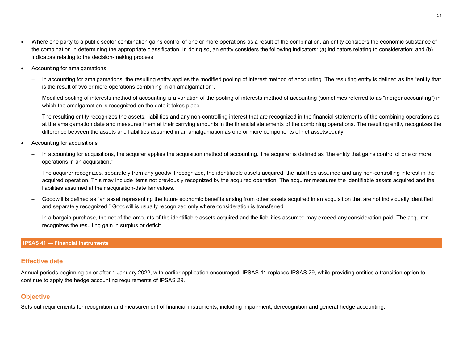- Where one party to a public sector combination gains control of one or more operations as a result of the combination, an entity considers the economic substance of the combination in determining the appropriate classification. In doing so, an entity considers the following indicators: (a) indicators relating to consideration; and (b) indicators relating to the decision-making process.
- Accounting for amalgamations
	- In accounting for amalgamations, the resulting entity applies the modified pooling of interest method of accounting. The resulting entity is defined as the "entity that is the result of two or more operations combining in an amalgamation".
	- − Modified pooling of interests method of accounting is a variation of the pooling of interests method of accounting (sometimes referred to as "merger accounting") in which the amalgamation is recognized on the date it takes place.
	- The resulting entity recognizes the assets, liabilities and any non-controlling interest that are recognized in the financial statements of the combining operations as at the amalgamation date and measures them at their carrying amounts in the financial statements of the combining operations. The resulting entity recognizes the difference between the assets and liabilities assumed in an amalgamation as one or more components of net assets/equity.
- Accounting for acquisitions
	- In accounting for acquisitions, the acquirer applies the acquisition method of accounting. The acquirer is defined as "the entity that gains control of one or more operations in an acquisition."
	- The acquirer recognizes, separately from any goodwill recognized, the identifiable assets acquired, the liabilities assumed and any non-controlling interest in the acquired operation. This may include items not previously recognized by the acquired operation. The acquirer measures the identifiable assets acquired and the liabilities assumed at their acquisition-date fair values.
	- − Goodwill is defined as "an asset representing the future economic benefits arising from other assets acquired in an acquisition that are not individually identified and separately recognized." Goodwill is usually recognized only where consideration is transferred.
	- In a bargain purchase, the net of the amounts of the identifiable assets acquired and the liabilities assumed may exceed any consideration paid. The acquirer recognizes the resulting gain in surplus or deficit.

## **IPSAS 41 — Financial Instruments**

## **Effective date**

Annual periods beginning on or after 1 January 2022, with earlier application encouraged. IPSAS 41 replaces IPSAS 29, while providing entities a transition option to continue to apply the hedge accounting requirements of IPSAS 29.

## **Objective**

Sets out requirements for recognition and measurement of financial instruments, including impairment, derecognition and general hedge accounting.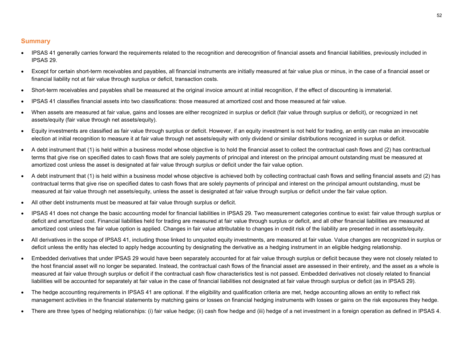- IPSAS 41 generally carries forward the requirements related to the recognition and derecognition of financial assets and financial liabilities, previously included in IPSAS 29.
- Except for certain short-term receivables and payables, all financial instruments are initially measured at fair value plus or minus, in the case of a financial asset or financial liability not at fair value through surplus or deficit, transaction costs.
- Short-term receivables and payables shall be measured at the original invoice amount at initial recognition, if the effect of discounting is immaterial.
- IPSAS 41 classifies financial assets into two classifications: those measured at amortized cost and those measured at fair value.
- When assets are measured at fair value, gains and losses are either recognized in surplus or deficit (fair value through surplus or deficit), or recognized in net assets/equity (fair value through net assets/equity).
- Equity investments are classified as fair value through surplus or deficit. However, if an equity investment is not held for trading, an entity can make an irrevocable election at initial recognition to measure it at fair value through net assets/equity with only dividend or similar distributions recognized in surplus or deficit.
- A debt instrument that (1) is held within a business model whose objective is to hold the financial asset to collect the contractual cash flows and (2) has contractual terms that give rise on specified dates to cash flows that are solely payments of principal and interest on the principal amount outstanding must be measured at amortized cost unless the asset is designated at fair value through surplus or deficit under the fair value option.
- A debt instrument that (1) is held within a business model whose objective is achieved both by collecting contractual cash flows and selling financial assets and (2) has contractual terms that give rise on specified dates to cash flows that are solely payments of principal and interest on the principal amount outstanding, must be measured at fair value through net assets/equity, unless the asset is designated at fair value through surplus or deficit under the fair value option.
- All other debt instruments must be measured at fair value through surplus or deficit.
- IPSAS 41 does not change the basic accounting model for financial liabilities in IPSAS 29. Two measurement categories continue to exist: fair value through surplus or deficit and amortized cost. Financial liabilities held for trading are measured at fair value through surplus or deficit, and all other financial liabilities are measured at amortized cost unless the fair value option is applied. Changes in fair value attributable to changes in credit risk of the liability are presented in net assets/equity.
- All derivatives in the scope of IPSAS 41, including those linked to unquoted equity investments, are measured at fair value. Value changes are recognized in surplus or deficit unless the entity has elected to apply hedge accounting by designating the derivative as a hedging instrument in an eligible hedging relationship.
- Embedded derivatives that under IPSAS 29 would have been separately accounted for at fair value through surplus or deficit because they were not closely related to the host financial asset will no longer be separated. Instead, the contractual cash flows of the financial asset are assessed in their entirety, and the asset as a whole is measured at fair value through surplus or deficit if the contractual cash flow characteristics test is not passed. Embedded derivatives not closely related to financial liabilities will be accounted for separately at fair value in the case of financial liabilities not designated at fair value through surplus or deficit (as in IPSAS 29).
- The hedge accounting requirements in IPSAS 41 are optional. If the eligibility and qualification criteria are met, hedge accounting allows an entity to reflect risk management activities in the financial statements by matching gains or losses on financial hedging instruments with losses or gains on the risk exposures they hedge.
- There are three types of hedging relationships: (i) fair value hedge; (ii) cash flow hedge and (iii) hedge of a net investment in a foreign operation as defined in IPSAS 4.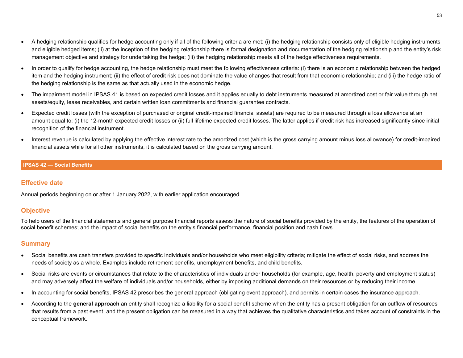- A hedging relationship qualifies for hedge accounting only if all of the following criteria are met: (i) the hedging relationship consists only of eligible hedging instruments and eligible hedged items; (ii) at the inception of the hedging relationship there is formal designation and documentation of the hedging relationship and the entity's risk management objective and strategy for undertaking the hedge; (iii) the hedging relationship meets all of the hedge effectiveness requirements.
- In order to qualify for hedge accounting, the hedge relationship must meet the following effectiveness criteria: (i) there is an economic relationship between the hedged item and the hedging instrument; (ii) the effect of credit risk does not dominate the value changes that result from that economic relationship; and (iii) the hedge ratio of the hedging relationship is the same as that actually used in the economic hedge.
- The impairment model in IPSAS 41 is based on expected credit losses and it applies equally to debt instruments measured at amortized cost or fair value through net assets/equity, lease receivables, and certain written loan commitments and financial guarantee contracts.
- Expected credit losses (with the exception of purchased or original credit-impaired financial assets) are required to be measured through a loss allowance at an amount equal to: (i) the 12-month expected credit losses or (ii) full lifetime expected credit losses. The latter applies if credit risk has increased significantly since initial recognition of the financial instrument.
- Interest revenue is calculated by applying the effective interest rate to the amortized cost (which is the gross carrying amount minus loss allowance) for credit-impaired financial assets while for all other instruments, it is calculated based on the gross carrying amount.

#### **IPSAS 42 — Social Benefits**

## **Effective date**

Annual periods beginning on or after 1 January 2022, with earlier application encouraged.

## **Objective**

To help users of the financial statements and general purpose financial reports assess the nature of social benefits provided by the entity, the features of the operation of social benefit schemes; and the impact of social benefits on the entity's financial performance, financial position and cash flows.

- Social benefits are cash transfers provided to specific individuals and/or households who meet eligibility criteria; mitigate the effect of social risks, and address the needs of society as a whole. Examples include retirement benefits, unemployment benefits, and child benefits.
- Social risks are events or circumstances that relate to the characteristics of individuals and/or households (for example, age, health, poverty and employment status) and may adversely affect the welfare of individuals and/or households, either by imposing additional demands on their resources or by reducing their income.
- In accounting for social benefits, IPSAS 42 prescribes the general approach (obligating event approach), and permits in certain cases the insurance approach.
- According to the **general approach** an entity shall recognize a liability for a social benefit scheme when the entity has a present obligation for an outflow of resources that results from a past event, and the present obligation can be measured in a way that achieves the qualitative characteristics and takes account of constraints in the conceptual framework.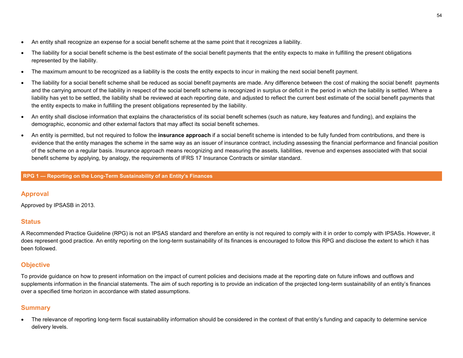- An entity shall recognize an expense for a social benefit scheme at the same point that it recognizes a liability.
- The liability for a social benefit scheme is the best estimate of the social benefit payments that the entity expects to make in fulfilling the present obligations represented by the liability.
- The maximum amount to be recognized as a liability is the costs the entity expects to incur in making the next social benefit payment.
- The liability for a social benefit scheme shall be reduced as social benefit payments are made. Any difference between the cost of making the social benefit payments and the carrying amount of the liability in respect of the social benefit scheme is recognized in surplus or deficit in the period in which the liability is settled. Where a liability has yet to be settled, the liability shall be reviewed at each reporting date, and adjusted to reflect the current best estimate of the social benefit payments that the entity expects to make in fulfilling the present obligations represented by the liability.
- An entity shall disclose information that explains the characteristics of its social benefit schemes (such as nature, key features and funding), and explains the demographic, economic and other external factors that may affect its social benefit schemes.
- An entity is permitted, but not required to follow the **insurance approach** if a social benefit scheme is intended to be fully funded from contributions, and there is evidence that the entity manages the scheme in the same way as an issuer of insurance contract, including assessing the financial performance and financial position of the scheme on a regular basis. Insurance approach means recognizing and measuring the assets, liabilities, revenue and expenses associated with that social benefit scheme by applying, by analogy, the requirements of IFRS 17 Insurance Contracts or similar standard.

**RPG 1 — Reporting on the Long-Term Sustainability of an Entity's Finances**

## **Approval**

Approved by IPSASB in 2013.

## **Status**

A Recommended Practice Guideline (RPG) is not an IPSAS standard and therefore an entity is not required to comply with it in order to comply with IPSASs. However, it does represent good practice. An entity reporting on the long-term sustainability of its finances is encouraged to follow this RPG and disclose the extent to which it has been followed.

## **Objective**

To provide guidance on how to present information on the impact of current policies and decisions made at the reporting date on future inflows and outflows and supplements information in the financial statements. The aim of such reporting is to provide an indication of the projected long-term sustainability of an entity's finances over a specified time horizon in accordance with stated assumptions.

## **Summary**

• The relevance of reporting long-term fiscal sustainability information should be considered in the context of that entity's funding and capacity to determine service delivery levels.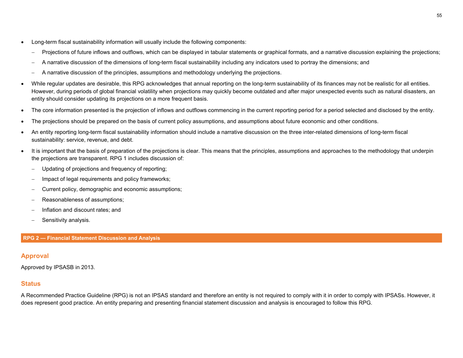- Long-term fiscal sustainability information will usually include the following components:
	- − Projections of future inflows and outflows, which can be displayed in tabular statements or graphical formats, and a narrative discussion explaining the projections;
	- − A narrative discussion of the dimensions of long-term fiscal sustainability including any indicators used to portray the dimensions; and
	- − A narrative discussion of the principles, assumptions and methodology underlying the projections.
- While regular updates are desirable, this RPG acknowledges that annual reporting on the long-term sustainability of its finances may not be realistic for all entities. However, during periods of global financial volatility when projections may quickly become outdated and after major unexpected events such as natural disasters, an entity should consider updating its projections on a more frequent basis.
- The core information presented is the projection of inflows and outflows commencing in the current reporting period for a period selected and disclosed by the entity.
- The projections should be prepared on the basis of current policy assumptions, and assumptions about future economic and other conditions.
- An entity reporting long-term fiscal sustainability information should include a narrative discussion on the three inter-related dimensions of long-term fiscal sustainability: service, revenue, and debt.
- It is important that the basis of preparation of the projections is clear. This means that the principles, assumptions and approaches to the methodology that underpin the projections are transparent. RPG 1 includes discussion of:
	- Updating of projections and frequency of reporting;
	- Impact of legal requirements and policy frameworks;
	- − Current policy, demographic and economic assumptions;
	- − Reasonableness of assumptions;
	- − Inflation and discount rates; and
	- − Sensitivity analysis.

#### **RPG 2 — Financial Statement Discussion and Analysis**

## **Approval**

Approved by IPSASB in 2013.

## **Status**

A Recommended Practice Guideline (RPG) is not an IPSAS standard and therefore an entity is not required to comply with it in order to comply with IPSASs. However, it does represent good practice. An entity preparing and presenting financial statement discussion and analysis is encouraged to follow this RPG.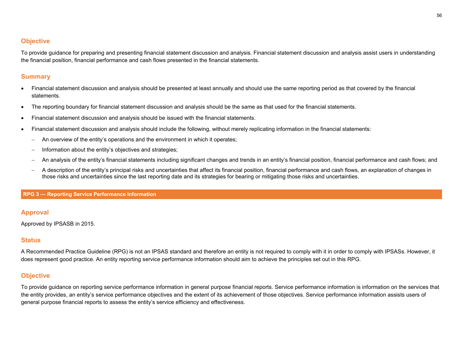## **Objective**

To provide guidance for preparing and presenting financial statement discussion and analysis. Financial statement discussion and analysis assist users in understanding the financial position, financial performance and cash flows presented in the financial statements.

## **Summary**

- Financial statement discussion and analysis should be presented at least annually and should use the same reporting period as that covered by the financial statements.
- The reporting boundary for financial statement discussion and analysis should be the same as that used for the financial statements.
- Financial statement discussion and analysis should be issued with the financial statements.
- Financial statement discussion and analysis should include the following, without merely replicating information in the financial statements:
	- An overview of the entity's operations and the environment in which it operates;
	- Information about the entity's objectives and strategies;
	- − An analysis of the entity's financial statements including significant changes and trends in an entity's financial position, financial performance and cash flows; and
	- − A description of the entity's principal risks and uncertainties that affect its financial position, financial performance and cash flows, an explanation of changes in those risks and uncertainties since the last reporting date and its strategies for bearing or mitigating those risks and uncertainties.

#### **RPG 3 — Reporting Service Performance Information**

## **Approval**

Approved by IPSASB in 2015.

## **Status**

A Recommended Practice Guideline (RPG) is not an IPSAS standard and therefore an entity is not required to comply with it in order to comply with IPSASs. However, it does represent good practice. An entity reporting service performance information should aim to achieve the principles set out in this RPG.

## **Objective**

To provide guidance on reporting service performance information in general purpose financial reports. Service performance information is information on the services that the entity provides, an entity's service performance objectives and the extent of its achievement of those objectives. Service performance information assists users of general purpose financial reports to assess the entity's service efficiency and effectiveness.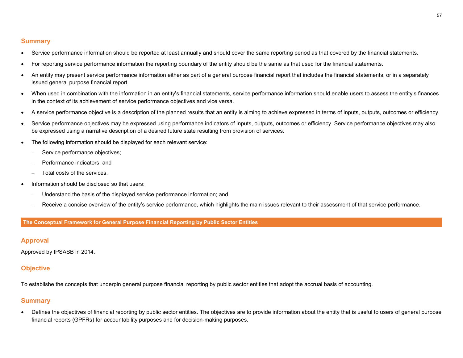## **Summary**

- Service performance information should be reported at least annually and should cover the same reporting period as that covered by the financial statements.
- For reporting service performance information the reporting boundary of the entity should be the same as that used for the financial statements.
- An entity may present service performance information either as part of a general purpose financial report that includes the financial statements, or in a separately issued general purpose financial report.
- When used in combination with the information in an entity's financial statements, service performance information should enable users to assess the entity's finances in the context of its achievement of service performance objectives and vice versa.
- A service performance objective is a description of the planned results that an entity is aiming to achieve expressed in terms of inputs, outputs, outcomes or efficiency.
- Service performance objectives may be expressed using performance indicators of inputs, outputs, outcomes or efficiency. Service performance objectives may also be expressed using a narrative description of a desired future state resulting from provision of services.
- The following information should be displayed for each relevant service:
	- − Service performance objectives;
	- − Performance indicators; and
	- Total costs of the services.
- Information should be disclosed so that users:
	- Understand the basis of the displayed service performance information; and
	- − Receive a concise overview of the entity's service performance, which highlights the main issues relevant to their assessment of that service performance.

**The Conceptual Framework for General Purpose Financial Reporting by Public Sector Entities**

## **Approval**

Approved by IPSASB in 2014.

## **Objective**

To establishe the concepts that underpin general purpose financial reporting by public sector entities that adopt the accrual basis of accounting.

## **Summary**

• Defines the objectives of financial reporting by public sector entities. The objectives are to provide information about the entity that is useful to users of general purpose financial reports (GPFRs) for accountability purposes and for decision-making purposes.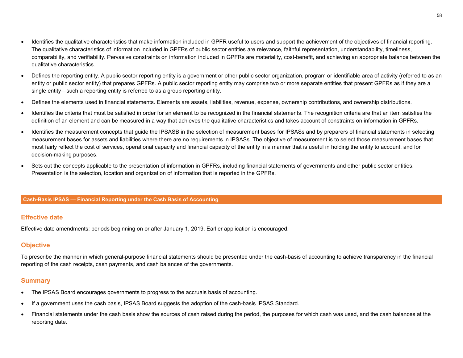- Identifies the qualitative characteristics that make information included in GPFR useful to users and support the achievement of the objectives of financial reporting. The qualitative characteristics of information included in GPFRs of public sector entities are relevance, faithful representation, understandability, timeliness, comparability, and verifiability. Pervasive constraints on information included in GPFRs are materiality, cost-benefit, and achieving an appropriate balance between the qualitative characteristics.
- Defines the reporting entity. A public sector reporting entity is a government or other public sector organization, program or identifiable area of activity (referred to as an entity or public sector entity) that prepares GPFRs. A public sector reporting entity may comprise two or more separate entities that present GPFRs as if they are a single entity—such a reporting entity is referred to as a group reporting entity.
- Defines the elements used in financial statements. Elements are assets, liabilities, revenue, expense, ownership contributions, and ownership distributions.
- Identifies the criteria that must be satisfied in order for an element to be recognized in the financial statements. The recognition criteria are that an item satisfies the definition of an element and can be measured in a way that achieves the qualitative characteristics and takes account of constraints on information in GPFRs.
- Identifies the measurement concepts that guide the IPSASB in the selection of measurement bases for IPSASs and by preparers of financial statements in selecting measurement bases for assets and liabilities where there are no requirements in IPSASs. The objective of measurement is to select those measurement bases that most fairly reflect the cost of services, operational capacity and financial capacity of the entity in a manner that is useful in holding the entity to account, and for decision-making purposes.
- Sets out the concepts applicable to the presentation of information in GPFRs, including financial statements of governments and other public sector entities. Presentation is the selection, location and organization of information that is reported in the GPFRs.

#### **Cash-Basis IPSAS — Financial Reporting under the Cash Basis of Accounting**

#### **Effective date**

Effective date amendments: periods beginning on or after January 1, 2019. Earlier application is encouraged.

## **Objective**

To prescribe the manner in which general-purpose financial statements should be presented under the cash-basis of accounting to achieve transparency in the financial reporting of the cash receipts, cash payments, and cash balances of the governments.

- The IPSAS Board encourages governments to progress to the accruals basis of accounting.
- If a government uses the cash basis, IPSAS Board suggests the adoption of the cash-basis IPSAS Standard.
- Financial statements under the cash basis show the sources of cash raised during the period, the purposes for which cash was used, and the cash balances at the reporting date.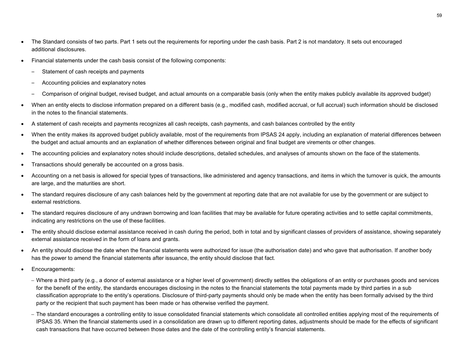- The Standard consists of two parts. Part 1 sets out the requirements for reporting under the cash basis. Part 2 is not mandatory. It sets out encouraged additional disclosures.
- Financial statements under the cash basis consist of the following components:
	- Statement of cash receipts and payments
	- Accounting policies and explanatory notes
	- Comparison of original budget, revised budget, and actual amounts on a comparable basis (only when the entity makes publicly available its approved budget)
- When an entity elects to disclose information prepared on a different basis (e.g., modified cash, modified accrual, or full accrual) such information should be disclosed in the notes to the financial statements.
- A statement of cash receipts and payments recognizes all cash receipts, cash payments, and cash balances controlled by the entity
- When the entity makes its approved budget publicly available, most of the requirements from IPSAS 24 apply, including an explanation of material differences between the budget and actual amounts and an explanation of whether differences between original and final budget are virements or other changes.
- The accounting policies and explanatory notes should include descriptions, detailed schedules, and analyses of amounts shown on the face of the statements.
- Transactions should generally be accounted on a gross basis.
- Accounting on a net basis is allowed for special types of transactions, like administered and agency transactions, and items in which the turnover is quick, the amounts are large, and the maturities are short.
- The standard requires disclosure of any cash balances held by the government at reporting date that are not available for use by the government or are subject to external restrictions.
- The standard requires disclosure of any undrawn borrowing and loan facilities that may be available for future operating activities and to settle capital commitments, indicating any restrictions on the use of these facilities.
- The entity should disclose external assistance received in cash during the period, both in total and by significant classes of providers of assistance, showing separately external assistance received in the form of loans and grants.
- An entity should disclose the date when the financial statements were authorized for issue (the authorisation date) and who gave that authorisation. If another body has the power to amend the financial statements after issuance, the entity should disclose that fact.
- Encouragements:
	- − Where a third party (e.g., a donor of external assistance or a higher level of government) directly settles the obligations of an entity or purchases goods and services for the benefit of the entity, the standards encourages disclosing in the notes to the financial statements the total payments made by third parties in a sub classification appropriate to the entity's operations. Disclosure of third-party payments should only be made when the entity has been formally advised by the third party or the recipient that such payment has been made or has otherwise verified the payment.
	- − The standard encourages a controlling entity to issue consolidated financial statements which consolidate all controlled entities applying most of the requirements of IPSAS 35. When the financial statements used in a consolidation are drawn up to different reporting dates, adjustments should be made for the effects of significant cash transactions that have occurred between those dates and the date of the controlling entity's financial statements.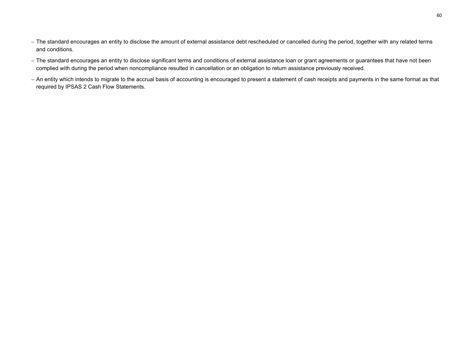- − The standard encourages an entity to disclose the amount of external assistance debt rescheduled or cancelled during the period, together with any related terms and conditions.
- − The standard encourages an entity to disclose significant terms and conditions of external assistance loan or grant agreements or guarantees that have not been complied with during the period when noncompliance resulted in cancellation or an obligation to return assistance previously received.
- − An entity which intends to migrate to the accrual basis of accounting is encouraged to present a statement of cash receipts and payments in the same format as that required by IPSAS 2 Cash Flow Statements.